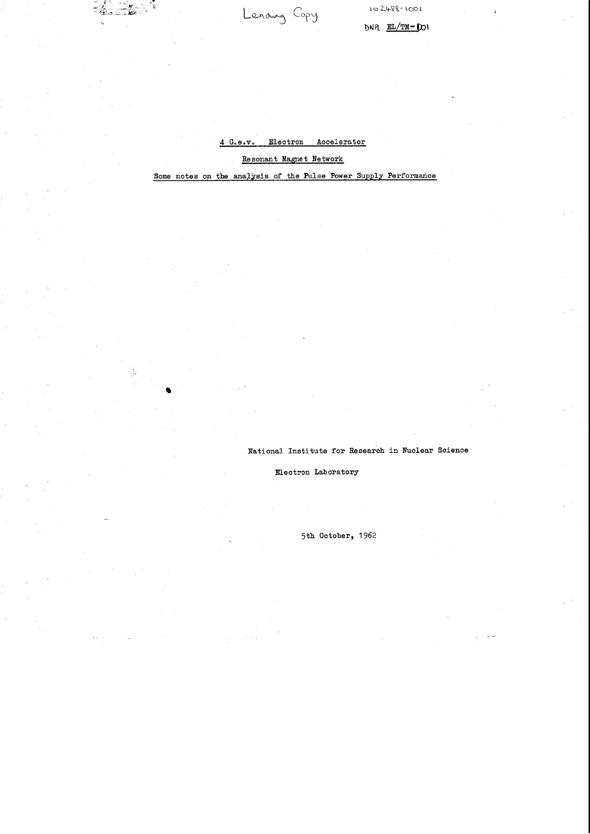$DNR$   $EL/TM = DOV$ 

#### Electron Accelerator  $G<sub>o</sub> e<sub>o</sub> v$

Lending Copy

## Resonant Magnet Network

# Some notes on the analysis of the Pulse Power Supply Performance

National Institute for Research in Nuclear Science

Electron Laboratory

5th October, 1962

 $\label{eq:2.1} \mathcal{L}=\sum_{\substack{\mathbf{a}\in\mathbb{Z}^n\\ \mathbf{a}\in\mathbb{Z}^n}}\mathcal{L}(\mathbf{a},\mathbf{a})\mathcal{L}(\mathbf{a},\mathbf{a})=\mathcal{L}(\mathbf{a},\mathbf{a})\mathcal{L}(\mathbf{a},\mathbf{a})\mathcal{L}(\mathbf{a},\mathbf{a})=\mathcal{L}(\mathbf{a},\mathbf{a})\mathcal{L}(\mathbf{a},\mathbf{a})\mathcal{L}(\mathbf{a},\mathbf{a})\mathcal{L}(\mathbf{a},\mathbf{a})\mathcal{L$  $\label{eq:2.1} \frac{1}{\sqrt{2\pi}}\int_{\mathbb{R}^3} \frac{1}{\sqrt{2\pi}}\int_{\mathbb{R}^3} \frac{1}{\sqrt{2\pi}}\int_{\mathbb{R}^3} \frac{1}{\sqrt{2\pi}}\int_{\mathbb{R}^3} \frac{1}{\sqrt{2\pi}}\int_{\mathbb{R}^3} \frac{1}{\sqrt{2\pi}}\int_{\mathbb{R}^3} \frac{1}{\sqrt{2\pi}}\int_{\mathbb{R}^3} \frac{1}{\sqrt{2\pi}}\int_{\mathbb{R}^3} \frac{1}{\sqrt{2\pi}}\int_{\mathbb{$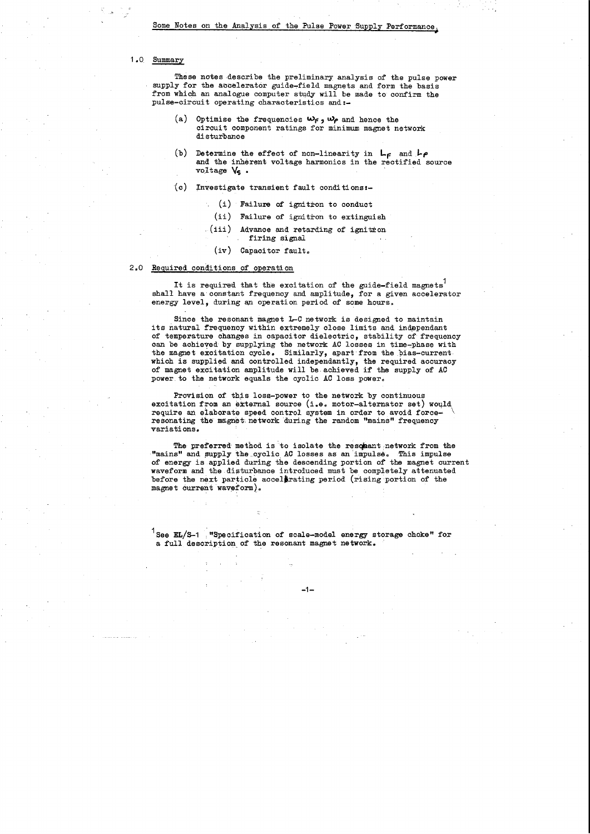## Some Notes on the Analysis of the Pulse Power Supply Performance.

### 1 .o Summary

These notes describe the preliminary analysis of the pulse power supply for the accelerator guide-field magnets and form the basis from which an analogue computer study will be made to confirm the pulse-circuit operating characteristics and:-

It is required that the excitation of the guide-field magnets<sup>1</sup> shall have a constant frequency and amplitude, for a given accelerator energy level, during an operation period of some hours.

Since the resonant magnet 1-C network is designed to maintain its natural frequency within extremely close limits and independant of temperature changes in capacitor dielectric, stability of frequency can be achieved by supplying the network AC losses in time-phase with the magnet excitation cycle. Similarly, apart from the bias-current. which is supplied and controlled independantly, the required accuracy of magnet excitation amplitude will be. achieved if the supply of AC power to the network equals the cyclic AC loss power.

- (a) Optimise the frequencies **Wf, Wp** and hence the circuit component ratings for minimum magnet network disturbance
- b) Determine the effect of non-linearity in  $L_f$  and  $L_f$ and the inherent voltage harmonics in the rectified source voltage  $V_{\mathbf{s}}$ .
- (c) Investigate transient fault conditions:-
	- (i) Failure of ignitron to conduct
		- (ii) Failure of ignitron to extinguish
	- $(iii)$  Advance and retarding of ignitron firing signal
		- (iv) Capacitor fault.

### 2.0 Required conditions of operation

Provision of this loss-power to the network by continuous excitation from an external source (i.e. motor-alternator set) would require an elaborate speed control system in order to avoid forceresonating the magnet network during the random "mains" frequency variations.

The preferred method is to isolate the resonant network from the "mains" and supply the cyclic AC losses as an impulse. This impulse of energy is applied during the descending portion *ot* the magnet current waveform and the disturbance introduced must be completely attenuated before the next particle accelerating period (rising portion of the magnet current waveform).

<sup>1</sup> See EL/S-1 **"Specification of scale-model energy storage choke" for** a full description. of the resonant magnet network.

 $\frac{1}{2} \frac{1}{2}$  $\sim 10^{12}$ , the mean of the mass  $\hat{p}_i$  ,  $\hat{p}_i$  ,  $\hat{p}_i$  ,  $\hat{p}_i$  ,  $\hat{p}_i$  ,  $\hat{p}_i$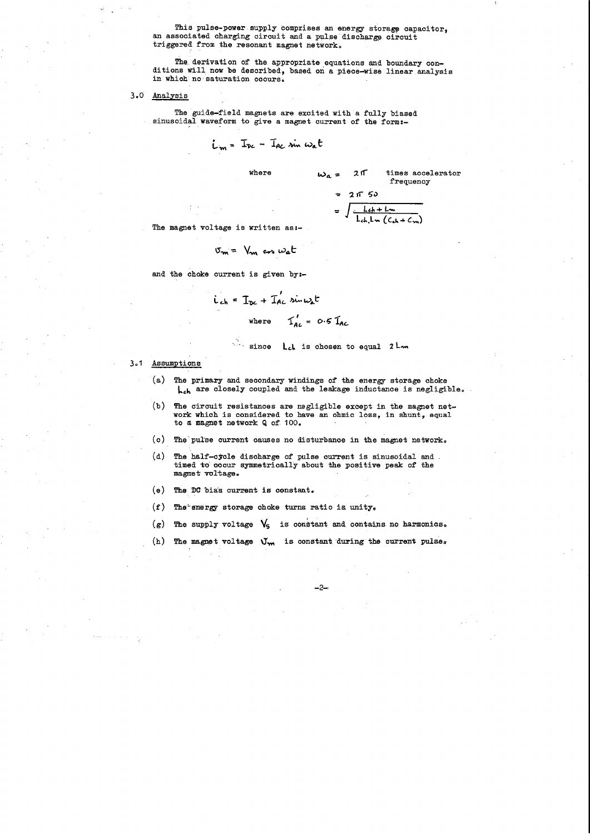This pulse-power supply comprises an energy storage capacitor, an associated charging circuit and a pulse discharge circuit triggered from the resonant magnet network.

The derivation of the appropriate equations and boundary conditions Will now be described, based on a piece-wise linear analysis in which no saturation occurs.

The guide-field magnets are excited with a fully biased sinusoidal waveform to give a magnet current of the form:-

3.0 Analysis

- (a) The primary and secondary windings of the energy storage choke **L**<sub>ch</sub> are closely coupled and the leakage inductance is negligible.
- (b) The circuit resistances are negligible except in the magnet network which is considered to have an ohmic loss, in shunt, equal to a magnet network Q of 100.
- (c) The pulse current causes no disturbance in the magnet network.
- $(d)$  The half-cycle discharge of pulse current is sinusoidal and. timed to occur symmetrically about the positive peak of the magnet voltage.
- $(e)$  The DC bias current is constant.
- (f) The energy storage choke turns ratio is unity.
- $(g)$  The supply voltage  $\sqrt{5}$  is constant and contains no harmonics.
- (h) The magnet voltage  $\mathcal{V}_{\mathbf{m}}$  is constant during the current pulses

$$
L_m = I_{pc} - I_{ac} \sin \omega_a t
$$

$$
= 2 \pi 50
$$
  
= 
$$
\int \frac{Lch + Lm}{Lch + Lm (Cch + Cm)}
$$

times accelerator frequency

 $w_a = 21$ 

The magnet voltage is written as:-

$$
\sigma_m = V_m \cos \omega_a t
$$

and the choke current is given by:-

$$
\hat{L}_{ch} = I_{DC} + I_{AC} \sin \omega_{A} t
$$
  
where  $I_{AC} = 0.5 I_{AC}$ 

since L<sub>ch</sub> is chosen to equal 2 L<sub>m</sub>

#### 3.1 Assumptions

-2-

an<br>1970 - Johann Stoff, Amerikaansk politiker<br>1970 - Johann Stoff, Amerikaansk politiker  $\mathcal{L}^{\mathcal{L}}(\mathcal{L}^{\mathcal{L}})$  and  $\mathcal{L}^{\mathcal{L}}(\mathcal{L}^{\mathcal{L}})$  and  $\mathcal{L}^{\mathcal{L}}(\mathcal{L}^{\mathcal{L}})$  and  $\mathcal{L}^{\mathcal{L}}(\mathcal{L}^{\mathcal{L}})$  $\frac{1}{2} \sum_{i=1}^{n} \frac{1}{2} \sum_{j=1}^{n}$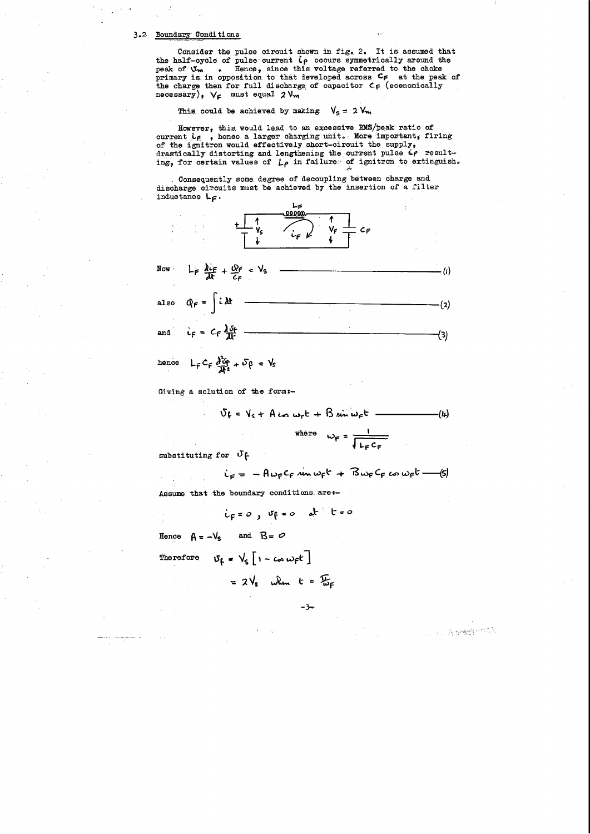### 3.2 Boundary Conditions

Consider the pulse circuit shown in fig. 2. It is assumed that the half-cycle of pulse current ip occurs symmetrically around the peak of  $V_m$  . Hence, since this voltage referred to the choke primary is in opposition to that developed across  $c_f$  at the peak of the charge then for full discharge of capacitor  $C_F$  (economically necessary),  $V_F$  must equal  $2 V_m$ 

This could be achieved by making  $V_5 = 2 V_m$ 

However, this would lead to an excessive RMS/peak ratio of current ie, , hence a larger charging unit. More important, firing of the ignitron would effectively short-circuit the supply, drastically distorting and lengthening the current pulse  $\dot{\mathbf{c}}\boldsymbol{\rho}$  resulting, for certain values of  $L_{\rho}$  in failure of ignitron to extinguish.

Consequently some degree of decoupling between charge and discharge circuits must be achieved by the insertion of a filter inductance  $L_{\mathsf{F}}$ .



hence  $L_F C_F \frac{\partial^2 G}{\partial F^2} + \delta \rho = V_S$ 

Giving a solution of the form:-

 $\delta f = V_s + A \omega \omega_r t + B \omega \omega_r t$  -·(4)

where 
$$
\omega_F = \frac{1}{\sqrt{L_F C_F}}
$$

substituting for  $\sigma$   $\beta$ 

$$
i_F = -A\omega_F c_F \sin \omega_F r + B\omega_F c_F \omega \omega_F r
$$
 (5)

Assume that the boundary conditions are :-

$$
i_F = 0 , if = 0 \quad dt \quad t = 0
$$

Hence  $A = -V_s$  and  $B = \emptyset$ 

Therefore  $V_f = V_s \left[1 - \cos \omega_r t \right]$ 

$$
= 2V_s
$$
 when  $t = \frac{T}{w_F}$ 

–3⊸

 $\label{eq:2.1} \frac{1}{\sqrt{2\pi}}\int_{0}^{\infty}\frac{1}{\sqrt{2\pi}}\left(\frac{1}{\sqrt{2\pi}}\right)^{2\alpha} \frac{1}{\sqrt{2\pi}}\frac{1}{\sqrt{2\pi}}\frac{1}{\sqrt{2\pi}}\frac{1}{\sqrt{2\pi}}\frac{1}{\sqrt{2\pi}}\frac{1}{\sqrt{2\pi}}\frac{1}{\sqrt{2\pi}}\frac{1}{\sqrt{2\pi}}\frac{1}{\sqrt{2\pi}}\frac{1}{\sqrt{2\pi}}\frac{1}{\sqrt{2\pi}}\frac{1}{\sqrt{2\pi}}\frac{1}{\sqrt{2\pi}}$ a sa kabilitan na katakati na matangan na Kabupatèn Tanggarang Kabupatèn Salam Kabupatèn Salam Kabupatèn Salam<br>Kabupatèn Salam Pangalang Kabupatèn Salam Pangalang Kabupatèn Salam Pangalang Kabupatèn Salam Pangalang Kabupa  $\frac{1}{\left\| \left( \frac{1}{\sqrt{2}} \right)^{\frac{1}{2}} \left( \frac{1}{\sqrt{2}} \right)^{\frac{1}{2}} \left( \frac{1}{\sqrt{2}} \right)^{\frac{1}{2}} \left( \frac{1}{\sqrt{2}} \right)^{\frac{1}{2}} \left( \frac{1}{\sqrt{2}} \right)^{\frac{1}{2}} \left( \frac{1}{\sqrt{2}} \right)^{\frac{1}{2}} \left( \frac{1}{\sqrt{2}} \right)^{\frac{1}{2}} \left( \frac{1}{\sqrt{2}} \right)^{\frac{1}{2}} \left( \frac{1}{\sqrt{2}} \right)^{\frac{1}{2}} \left( \$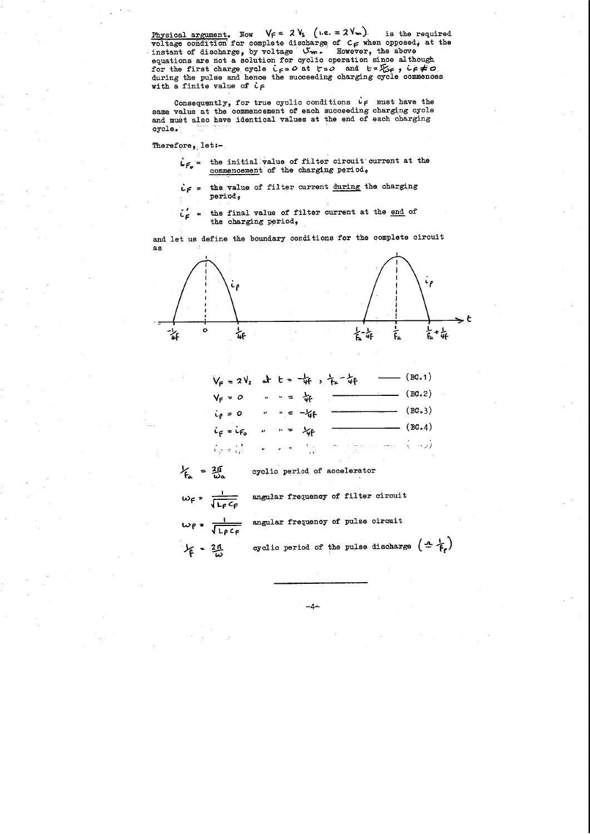Physical argument. Now  $V_f = 2 V_s (i.e. = 2 V_m)$ is the required voltage condition for complete discharge of  $c_{\mathsf{F}}$  when opposed, at the instant of discharge, by voltage Um. However, the above equations are not a solution for cyclic operation since although for the first charge cycle  $i_f = 0$  at  $t = 0$  and  $t = \frac{\pi}{16}$ ,  $i_f \neq 0$ <br>during the pulse and hence the succeeding charging cycle commences with a finite value of  $c \in$ 

Consequently, for true cyclic conditions  $\dot{\mathsf{L}}$  must have the same value at the commencement of each succeeding charging cycle and must also have identical values at the end of each charging cycle.

Therefore, let: $-$ .

- $L_{F_o}$  = the initial value of filter circuit current at the commencement of the charging period,
- $c \in \mathcal{L}$  = the value of filter current during the charging period,
- = the final value of filter current at the end of  $\tilde{c}_F$ the charging period,

and let us define the boundary conditions for the complete circuit as



$$
V_F = 2V_s
$$
 at  $t = -\frac{1}{4}r$ ,  $\frac{1}{4}r - \frac{1}{4}r$  (BC.1)  
\n $V_F = 0$   $\therefore r = \frac{1}{4}r$  (BC.2)  
\n $\therefore \rho = 0$   $\therefore r = -\frac{1}{4}r$  (BC.3)  
\n $\therefore \rho = \frac{1}{4}r$  (BC.4)  
\n $\therefore \rho = \frac{1}{4}r$  (BC.4)

$$
V_{fa} = \frac{20}{\omega_a}
$$
 cyclic period of acceleration  
\n
$$
\omega_f = \frac{1}{\sqrt{L_f C_f}}
$$
 angular frequency of filter circuit  
\n
$$
\omega_f = \frac{1}{\sqrt{L_f C_f}}
$$
 angular frequency of pulse circuit  
\n
$$
V_f = 20
$$
cyclic period of the pulse discharge

-4∸

 $(\pm \frac{1}{f_{\epsilon}})$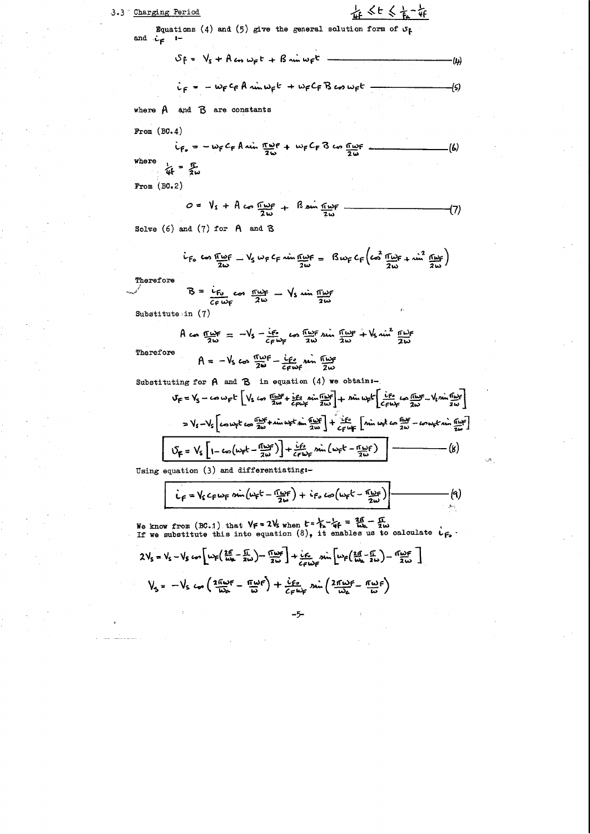## 3.3 Charging Period

车<t<t<t

Equations (4) and (5) give the general solution form of  $\sigma_f$ and  $\dot{L}_F$  :-

$$
S_{F} = V_{s} + A \omega_{s} \omega_{F} t + B \omega_{s} \omega_{F} t
$$
\n
$$
\dot{v}_{F} = -\omega_{F} c_{f} A \omega_{s} \omega_{F} t + \omega_{F} c_{F} B \omega_{s} \omega_{F} t
$$
\nwhere A and B are constants

From  $(BC.4)$ 

$$
i_{F_o} = -\omega_F C_F A \sin \frac{\pi \omega_F}{2 \omega} + \omega_F C_F B \cos \frac{\pi \omega_F}{2 \omega}
$$
 (6)

From  $(BC.2)$ 

$$
0 = V_s + A \cos \frac{\pi \omega_F}{2 \omega} + B \sin \frac{\pi \omega_F}{2 \omega} \qquad (7)
$$

Solve  $(6)$  and  $(7)$  for  $A$  and  $B$ 

$$
\dot{L}_{F_0} \text{ to } \frac{\text{Im}{F}}{\text{Im}} = \frac{V_S}{2\omega} \omega_F C_F \text{ } \frac{\text{Im}{F}}{\text{Im}} = \frac{R \omega_F C_F}{2\omega} \left(\text{ } \frac{2}{2\omega} \frac{\text{Im}{F}}{\text{Im}} + \text{ } \frac{\text{Im}{F}}{\text{Im}}\right)
$$

Therefore

$$
B = \frac{i_{F_0}}{c_{F_0}} \cos \frac{m\omega_F}{2\omega} - \sqrt{s} \sin \frac{m\omega_F}{2\omega}
$$

Substitute in  $(7)$ 

$$
A \cos \frac{\pi \omega \epsilon}{2 \omega} = -V_s - \frac{i \epsilon_s}{c \epsilon \omega \epsilon} \cos \frac{\pi \omega \epsilon}{2 \omega} \sin \frac{\pi \omega \epsilon}{2 \omega} + V_s \sin^2 \frac{\pi \omega \epsilon}{2 \omega}
$$

Therefore

$$
A = -V_s \cos \frac{\pi \omega}{2\omega} - \frac{i\rho_s}{2\rho \omega} \sin \frac{\pi \omega}{2\omega}
$$

Substituting for  $A$  and  $B$  in equation  $(4)$  we obtain:-

$$
V_F = V_S - \cos \omega_F t \left[ V_S \cos \frac{\pi \omega_F}{2\omega} + \frac{\cos \omega_F}{\epsilon_F \omega_F} \sin \frac{\pi \omega_F}{2\omega} \right] + \sin \omega_F t \left[ \frac{\cos \omega_F}{\epsilon_F \omega_F} - V_S \sin \frac{\pi \omega_F}{2\omega} \right]
$$
  
=  $V_S - V_S \left[ \cos \omega_F t \cos \frac{\pi \omega_F}{2\omega} + \sin \omega_F t \sin \frac{\pi \omega_F}{2\omega} \right] + \frac{\cos \omega_F}{\epsilon_F \omega_F} \left[ \sin \omega_F t \cos \frac{\pi \omega_F}{2\omega} - \omega \omega_F t \sin \frac{\pi \omega_F}{2\omega} \right]$   

$$
V_F = V_S \left[ 1 - \cos \left( \omega_F t - \frac{\pi \omega_F}{2\omega} \right) \right] + \frac{\cos \omega_F}{\epsilon_F \omega_F} \sin \left( \omega_F t - \frac{\pi \omega_F}{2\omega} \right)
$$
 (8)

Using equation  $(3)$  and differentiating:-

$$
\dot{L}_F = V_s c_F w_F \sin(w_F t - \frac{w_F}{2w} + \dot{c}_F \cos(w_F t - \frac{w_F}{2w})
$$
 (4)

We know from (BC.1) that  $V_f = 2V_s$  when  $t = \frac{V_f}{h} - \frac{V_f}{4f} = \frac{20}{10} - \frac{1}{2} \omega$ <br>If we substitute this into equation (8), it enables us to calculate  $v_f$ .

$$
2V_{s} = V_{s} - V_{s} \omega_{0} \left[ w_{F} \left( \frac{2f}{w_{B}} - \frac{f}{2w} \right) - \frac{f(w_{F})}{2w} \right] + \frac{\dot{c}_{F}}{c_{F}w_{F}} \sin \left[ w_{F} \left( \frac{2f}{w_{A}} - \frac{f}{2w} \right) - \frac{f(w_{F})}{2w} \right]
$$
  

$$
V_{s} = -V_{s} \omega_{0} \left( \frac{2f(w_{F})}{w_{A}} - \frac{f(w_{F})}{w} \right) + \frac{\dot{c}_{F} \omega_{s}}{c_{F}w_{F}} \sin \left( \frac{2f(w_{F})}{w_{A}} - \frac{f(w_{F})}{w} \right)
$$

 $\mathcal{L}^{\text{max}}_{\text{max}}$  and  $\mathcal{L}^{\text{max}}_{\text{max}}$ 

 $\sim 8\%$ 

 $\sim 10^{-11}$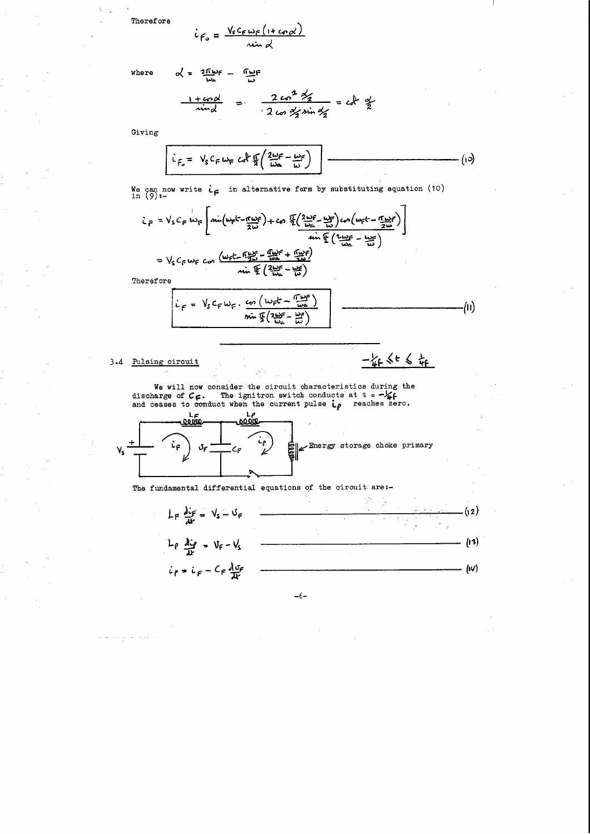Therefore

$$
\dot{c}_{F_o} = \frac{V_s c_{F} w_{F} (1 + c_{P} \alpha)}{w_{F} w_{F}}
$$

where

$$
\alpha' = \frac{2\pi\omega f}{\omega a} - \frac{\pi\omega f}{\omega}
$$
  

$$
\frac{1 + \omega c \omega'}{\omega d} = \frac{2\omega c^2 \omega'}{2\omega c \omega' \sin \omega'}
$$

$$
= c \omega c \frac{\omega'}{2}
$$

Giving

$$
\dot{L}_{F_0} = V_S C_F \omega_F c \partial F \frac{\Gamma}{2} \left( \frac{2\omega_F}{\omega_a} - \frac{\omega_F}{\omega} \right)
$$
 (10)

We can now write  $\dot{\iota}_{\mathsf{F}}$  in alternative form by substituting equation (10) in (9):-

$$
L_{F} = V_{S}C_{F} \dot{w}_{F} \left[ \Delta \dot{w} \left( \frac{\mu_{F}L - \pi \omega_{F}}{2\omega} \right) + c_{S} \frac{\sqrt{2}}{2} \left( \frac{2\omega_{F}F}{\omega_{A}} - \frac{\omega_{F}}{\omega_{S}} \right) \omega_{B} \left( \frac{\mu_{F}L - \pi \omega_{F}}{2\omega} \right) \right]
$$
\n
$$
= V_{S}C_{F} \dot{w}_{F} \cos \left( \frac{\omega_{F}L - \frac{\omega_{F}}{2} - \frac{\omega_{F}}{\omega_{A}}F + \frac{\omega_{F}}{2}}{2} \right)
$$
\n
$$
= V_{S}C_{F} \dot{w}_{F} \cos \left( \frac{\omega_{F}L - \frac{\omega_{F}}{2}}{2} - \frac{\omega_{F}}{\omega_{A}}F + \frac{\omega_{F}}{2}\right)
$$

Therefore

$$
i_{F} = V_{s} c_{F} w_{F} \cdot \frac{c_{\varphi} (w_{F}t - \frac{\pi w_{F}}{w_{A}})}{\sin \frac{\pi}{2} (2 \frac{w_{F}}{w_{A}} - \frac{w_{F}}{w})}
$$
 (1)

 $-\frac{1}{4}f \leq t \leq \frac{1}{4}f$ 

3.4 Pulsing circuit

We will now consider the circuit characteristics during the discharge of  $C_{\Gamma}$ . The ignitron switch conducts at  $t = -\frac{1}{4}f$  and ceases to conduct when the current pulse  $\frac{1}{4} \rho$  reaches zero.



The fundamental differential equations of the circuit are:-



 $\label{eq:2.1} \frac{1}{\sqrt{2\pi}}\sum_{i=1}^n\frac{1}{\sqrt{2\pi}}\left(\frac{1}{\sqrt{2\pi}}\right)^2\left(\frac{1}{\sqrt{2\pi}}\right)^2\left(\frac{1}{\sqrt{2\pi}}\right)^2.$ ال<br>المناسبة المناسبة التي تتم المساحة المناسبة<br>المناسبة  $\frac{1}{2} \left( \frac{1}{2} \right)$ 

 $-6-$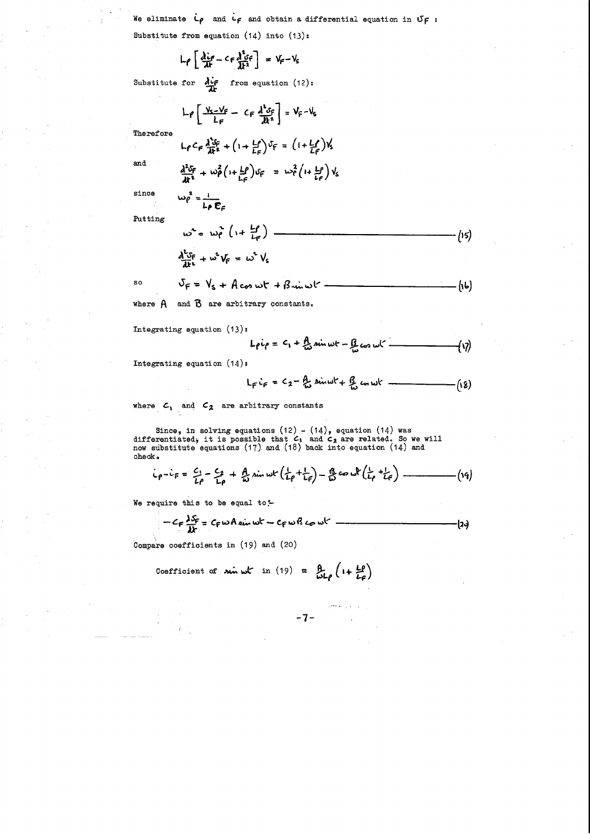We eliminate  $L_{\rho}$  and  $L_{\rho}$  and obtain a differential equation in  $U_{\rho}$ : Substitute from equation (14) into (13):

$$
L \rho \left[ \frac{\partial \dot{L}_F}{\partial t} - C_F \frac{\partial^2 \dot{L}_F}{\partial t^2} \right] = V_F - V_S
$$

Substitute for  $\frac{\partial \dot{\mathbf{c}}}{\partial \mathbf{r}}$  from equation (12):

$$
L \rho \left[ \frac{y_{s-}y_{f}}{L_{F}} - C_{F} \frac{d^{2} s_{F}}{dt^{2}} \right] = V_{F} - V_{s}
$$

Therefore

and

 $\ddot{\phantom{a}}$ 

$$
\frac{d^2\delta_F}{dt^2} + w \frac{2}{\rho} \left( 1 + \frac{L\rho}{L\rho} \right) \delta_F = w \frac{2}{\rho} \left( 1 + \frac{L\rho}{L\rho} \right) \gamma_S
$$

 $\frac{1}{2}$  +  $(1 + \frac{1}{4}C)^{0}$  =  $(1 + \frac{1}{4}C)$ 

since  $\omega_{\rho}^2 = \frac{1}{\ln \rho}$ 

Putting

$$
\omega^{2} = \omega_{\rho}^{2} \left( 1 + \frac{L\rho}{L_{\rho}} \right)
$$
\n
$$
\frac{\partial^{2} S_{f}}{\partial t^{2}} + \omega^{2} V_{f} = \omega^{2} V_{s}
$$
\n(15)

$$
SSO \t\t VF = VS + A cos \omega t + B sin \omega t
$$

where  $A$ 

Integrating equation  $(13)$ :

$$
L_{\rho}i_{\rho} = C_1 + \frac{A}{\omega} \sin \omega t - \frac{B}{\omega} \cos \omega t
$$
 (17)

Integrating equation (14):

$$
L_{F}i_{F} = C_{2} - \frac{A}{k_{D}} \sin \omega t + \frac{B}{k_{D}} \cos \omega t
$$
 (18)

 $\mathcal{L}^{\text{max}}_{\text{max}}$ 

where  $c_1$  and  $c_2$  are arbitrary constants

Since, in solving equations (12) - (14), equation (14) was differentiated, it is possible that  $c_i$  and  $c_2$  are related. So we will now substitute equations (17) and (18) back into equation (14) and check.

$$
i_{\rho}-i_{F}=\frac{c_{1}}{L\rho}-\frac{c_{2}}{L\rho}+\frac{A}{w}\sin wt(\frac{1}{L\rho}+\frac{1}{L_{F}})-\frac{B}{w}\cos wt(\frac{1}{L\rho}+\frac{1}{L\rho})-\dots-(19)
$$

We require this to be equal to -

$$
-C_F \frac{\lambda S_F}{\lambda k} = C_F \omega A \sin \omega k - C_F \omega B \omega k
$$

Compare coefficients in  $(19)$  and  $(20)$ 

Coefficient of 
$$
sin \omega t
$$
 in (19) =  $\frac{\beta}{\omega L \rho} \left( 1 + \frac{L \rho}{L \rho} \right)$ 

-7-

 $\sim 10$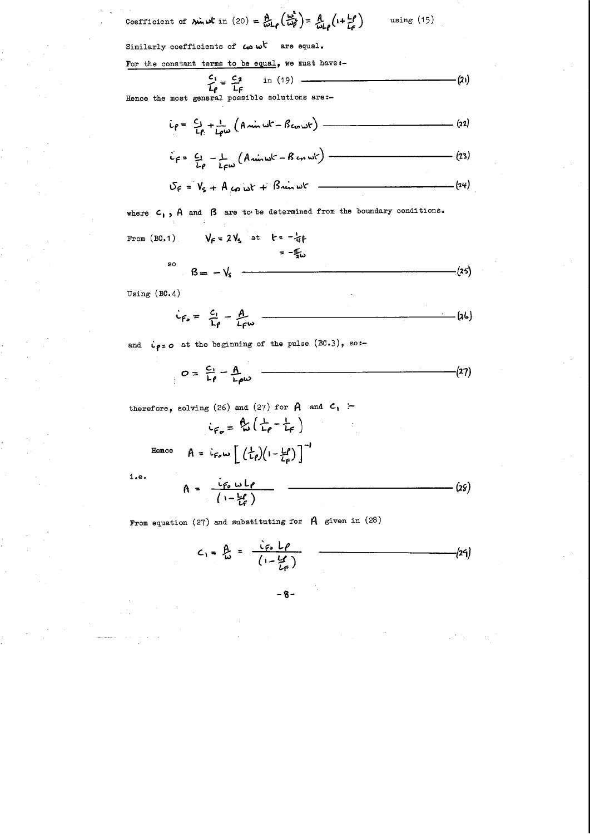Coefficient of **sin** 
$$
\omega t
$$
 in (20) =  $\frac{A}{\omega L \rho} \left( \frac{\omega^2}{\omega \rho} \right) = \frac{A}{\omega L \rho} \left( 1 + \frac{L \rho}{L \rho} \right)$  using (15)

Similarly coefficients of  $\omega$  w<sup>t</sup> are equal.

For the constant terms to be equal, we must have:-

$$
\frac{c_1}{L\rho} = \frac{c_2}{L\rho} \qquad \text{in (19)} \qquad (21)
$$

Hence the most general possible solutions are:-

$$
i\rho = \frac{c_1}{L\rho} + \frac{1}{L\rho w} \left( A \sin wt - B \cos wt \right) \qquad (22)
$$

$$
\hat{L}_F = \frac{C_1}{L_P} - \frac{1}{L_F \omega} \left( A \sin \omega t - B \cos \omega t \right) \qquad (23)
$$

$$
\delta_F = V_s + A \omega \omega t + B \omega \omega t
$$
  $(24)$ 

where  $c_1$ , A and  $\beta$  are to be determined from the boundary conditions.

From (B0.1) 
$$
V_F = 2V_s
$$
 at  $t = -\frac{1}{4}t$   
\n $= -\frac{\sigma}{4}\omega$   
\nSo  $B = -V_s$  (25)

Using  $(BC.4)$ 

$$
i_{F_o} = \frac{c_1}{L_f} - \frac{A}{L_f \omega}
$$
 (26)

and  $\dot{\mathfrak{c}}_{\rho}$  = o at the beginning of the pulse  $(BC.3)$ , so:-

$$
O = \frac{C_1}{L \rho} - \frac{A}{L \rho \omega} \qquad (27)
$$

therefore, solving (26) and (27) for  $A$  and  $C_1$  -

$$
F_{\sigma} = \frac{\beta_{\sigma}}{\omega} \left( \frac{1}{L\rho} - \frac{1}{L\rho} \right)
$$

Henc

$$
e^{2e} = A = i_{F_0} \omega \left[ \left( \frac{1}{L_{\rho}} \right) \left( 1 - \frac{L_{\rho}}{L_{\rho}} \right) \right]
$$

 $i$ .e.

$$
A = \frac{i_{F_o \cup F}}{(1 - \frac{L}{L} - I_o)} \qquad (28)
$$

From equation (27) and substituting for  $A$  given in (28)

$$
C_1 = \frac{\beta}{\omega} = \frac{\frac{c_{fs} L \rho}{(1 - \frac{Lf}{L \rho})}}
$$
 (29)

 $-8-$ 

 $\label{eq:2.1} \frac{1}{\sqrt{2}}\left(\frac{1}{\sqrt{2}}\right)^{2} \left(\frac{1}{\sqrt{2}}\right)^{2} \left(\frac{1}{\sqrt{2}}\right)^{2} \left(\frac{1}{\sqrt{2}}\right)^{2} \left(\frac{1}{\sqrt{2}}\right)^{2} \left(\frac{1}{\sqrt{2}}\right)^{2} \left(\frac{1}{\sqrt{2}}\right)^{2} \left(\frac{1}{\sqrt{2}}\right)^{2} \left(\frac{1}{\sqrt{2}}\right)^{2} \left(\frac{1}{\sqrt{2}}\right)^{2} \left(\frac{1}{\sqrt{2}}\right)^{2} \left(\$  $\label{eq:2.1} \frac{1}{\sqrt{2\pi}}\sum_{i=1}^n\frac{1}{\sqrt{2\pi}}\sum_{i=1}^n\frac{1}{\sqrt{2\pi}}\sum_{i=1}^n\frac{1}{\sqrt{2\pi}}\sum_{i=1}^n\frac{1}{\sqrt{2\pi}}\sum_{i=1}^n\frac{1}{\sqrt{2\pi}}\sum_{i=1}^n\frac{1}{\sqrt{2\pi}}\sum_{i=1}^n\frac{1}{\sqrt{2\pi}}\sum_{i=1}^n\frac{1}{\sqrt{2\pi}}\sum_{i=1}^n\frac{1}{\sqrt{2\pi}}\sum_{i=1}^n\$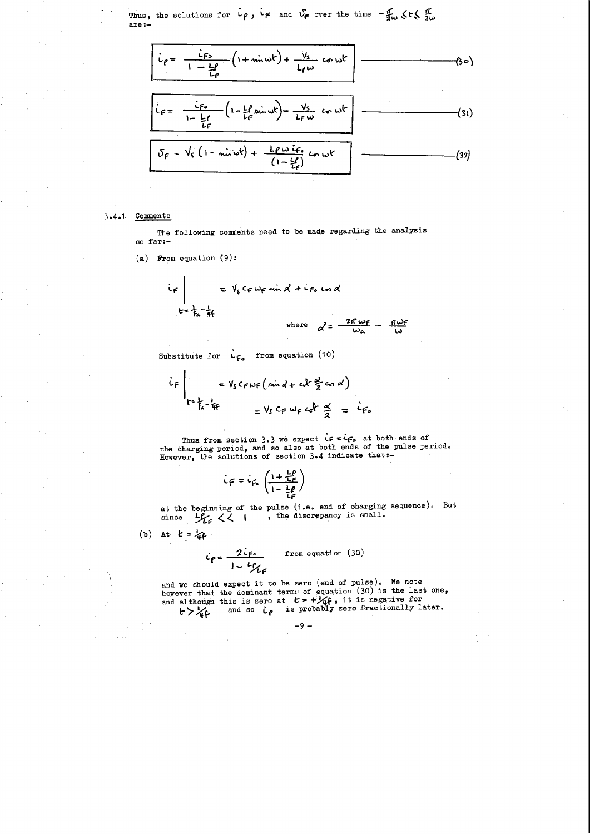Thus, the solutions for  $\mu$ ,  $\mu$  and  $\nu$ <sub>F</sub> over the time  $-\frac{F}{2\omega}$   $\langle r \rangle \frac{F}{2\omega}$ **are:-**

$$
i_{\rho} = \frac{i_{\rho}}{1 - \frac{L\rho}{L\rho}} \left(1 + \min\{1 + \frac{V_{s}}{L\rho\omega} \cos \omega t\}\right)
$$
\n
$$
i_{\rho} = \frac{i_{\rho}}{1 - \frac{L\rho}{L\rho}} \left(1 - \frac{L\rho}{L\rho} \sin \omega t\right) - \frac{V_{s}}{L\rho\omega} \cos \omega t\right)
$$
\n
$$
i_{\rho} = \frac{i_{\rho}}{1 - \frac{L\rho}{L\rho}} \left(1 - \frac{L\rho}{L\rho} \sin \omega t\right) - \frac{V_{s}}{L\rho\omega} \cos \omega t\right]
$$
\n
$$
\delta_{\rho} = V_{s} \left(1 - \min\{1 + \frac{L\rho\omega}{L\rho}\} \cos \omega t\right)
$$
\n(32)

The following comments need to be made regarding the analysis **so far:-**

#### 3.4.1 Comments

(a) From equation (9):

and we should expect it to be zero (end of pulse). We note however that the dominant terms of equation (30) is the last one, and although this is zero at  $t^2$  +  $\frac{1}{4}$ , it is negative for **1:** 100 minutes 15 2010 at  $\bullet \cdot \cdot \cdot \cdot \cdot \cdot$  . The index is in the same of the same in the same of  $\cdot \cdot \cdot$ 

$$
i_{F} = \int_{s}^{s} c_{F} \omega_{F} \sin \alpha + i_{F} \cos \alpha
$$
  
\n
$$
t = \frac{1}{5a} - \frac{1}{4}f
$$
  
\nwhere  $\alpha' = \frac{2\pi \omega_{F}}{\omega_{a}} - \frac{\pi \omega_{F}}{\omega}$ 

 $-9 \label{eq:2.1} \mathcal{L}(\mathcal{L}^{\mathcal{L}}_{\mathcal{L}}(\mathcal{L}^{\mathcal{L}}_{\mathcal{L}})) = \mathcal{L}(\mathcal{L}^{\mathcal{L}}_{\mathcal{L}}(\mathcal{L}^{\mathcal{L}}_{\mathcal{L}})) = \mathcal{L}(\mathcal{L}^{\mathcal{L}}_{\mathcal{L}}(\mathcal{L}^{\mathcal{L}}_{\mathcal{L}})) = \mathcal{L}(\mathcal{L}^{\mathcal{L}}_{\mathcal{L}}(\mathcal{L}^{\mathcal{L}}_{\mathcal{L}}))$ 

Substitute for  $\dot{L}_{F_o}$  from equation (10)

$$
\vec{v}_F = V_S C_F w_F (\sin d + c \vec{d}^2 \cos d)
$$
  
\n
$$
r = \frac{1}{fa} - \frac{1}{4fa} = V_S C_F w_F c \vec{d} + \frac{d}{2} = \vec{c}_F
$$

Thus from section 3.3 we expect  $\iota$ **F** =  $\iota$ **F**<sub>0</sub> at both ends of the charging period, and so also at both ends of the pulse period. However, the solutions of section 3.4 indicate that:-

$$
\dot{L}_F = \dot{L}_{fs} \left( \frac{1 + \frac{L\rho}{Lg}}{1 - \frac{L\rho}{Lg}} \right)
$$

(b) At 
$$
t = \sqrt{4}
$$

 $\setminus$ 

at. the beginning of the since  $\frac{1}{2}$  << I pulse (i.e. end of charging sequence). , the discrepancy is small. But

$$
\dot{\mathcal{L}}_{\rho} = \frac{2\dot{\mathcal{L}}_{\rho}}{1 - \frac{L\rho}{L_{\rho}}}
$$
 from equation (30)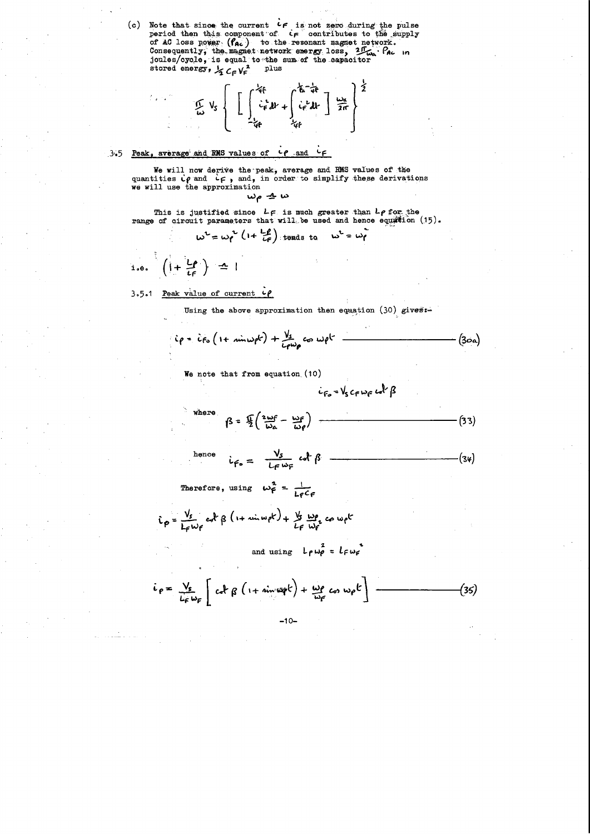(c) Note that since the current  $c \neq i s$  not zero during the pulse period then this component of  $c \neq i s$  contributes to the supply of AC loss power  $(f_{AC})$  to the resonant magnet network. Consequently, the magnet network energy loss, 2.  $T_{\omega_{\alpha}}$ . Pac in joules/cycle, is equal to the sum of the sapacitor<br>stored energy,  $\frac{1}{2} C_F V_F^2$  plus

$$
\frac{1}{2\pi}\int_{S}\left[\left[\int_{-\frac{1}{4}}^{\frac{1}{4}}\frac{1}{4}dx+\int_{\frac{1}{4}}^{\frac{1}{4}}\frac{1}{4}dx\right]\frac{u_{\alpha}}{2\pi}\right]^{\frac{1}{2}}
$$

#### $3.5$  Peak, average and RMS values of  $40$  and ع ا

ં ક

We will now derive the peak, average and RMS values of the quantities  $i \rho$  and  $i \rho$ , and, in order to simplify these derivations we will use the approximation

$$
\omega_{\rho} \rightharpoonup \omega
$$

This is justified since  $L_f$  is much greater than  $L_f$  for the range of circuit parameters that will be used and hence equation (15).

$$
w^{2} = w_{1}^{2} \left(1 + \frac{L_{1}}{L_{1}}\right)
$$
 tends to  $w^{2} = w_{1}$   
i.e.  $\left(1 + \frac{L_{1}}{L_{1}}\right) = 1$ 

Peak value of current  $c\rho$  $3.5.1$ 

ľ

Using the above approximation then equation (30) gives:-

$$
i\rho = i\rho_o (1 + min\omega_0 k) + \frac{V_s}{L\rho\omega_0} \omega_0 k =
$$
  $(3\omega_0)$ 

We note that from equation  $(10)$ 

$$
c_{F_0} = V_s c_F w_F w^2
$$

 $\sim$ 

where 
$$
\beta = \frac{\pi}{2} \left( \frac{2\omega f}{\omega_a} - \frac{\omega g}{\omega \rho} \right)
$$
 (33)

ence 
$$
i_{F_{0}} = \frac{v_{s}}{L_{F}w_{F}} \omega f \beta
$$
 (34)

Therefore, using  $\omega_f^2 = \frac{1}{L_f C_f}$ 

$$
\hat{L}_{\rho} = \frac{V_s}{L_{\rho} \omega_{\rho}} \cot \beta (1 + \sin \omega_{\rho} k) + \frac{V_s}{L_{\rho}} \frac{\omega_{\rho}}{\omega_{\rho}} \cos \omega_{\rho} k
$$

and using  $L_P \omega_P^2 = L_F \omega_F$ 

$$
i_{P} = \frac{V_{g}}{L_{F} \omega_{F}} \left[ c_{\alpha} \log \left( 1 + \dim \omega_{F} k \right) + \frac{\omega_{P}}{\omega_{F}} c_{\alpha}, \omega_{P} k \right] \tag{35}
$$

 $\label{eq:2} \frac{1}{2} \sum_{i=1}^n \frac{1}{2} \sum_{j=1}^n \frac{1}{2} \sum_{j=1}^n \frac{1}{2} \sum_{j=1}^n \frac{1}{2} \sum_{j=1}^n \frac{1}{2} \sum_{j=1}^n \frac{1}{2} \sum_{j=1}^n \frac{1}{2} \sum_{j=1}^n \frac{1}{2} \sum_{j=1}^n \frac{1}{2} \sum_{j=1}^n \frac{1}{2} \sum_{j=1}^n \frac{1}{2} \sum_{j=1}^n \frac{1}{2} \sum_{j=1}^n \frac{1}{$  $\Delta \sim 10$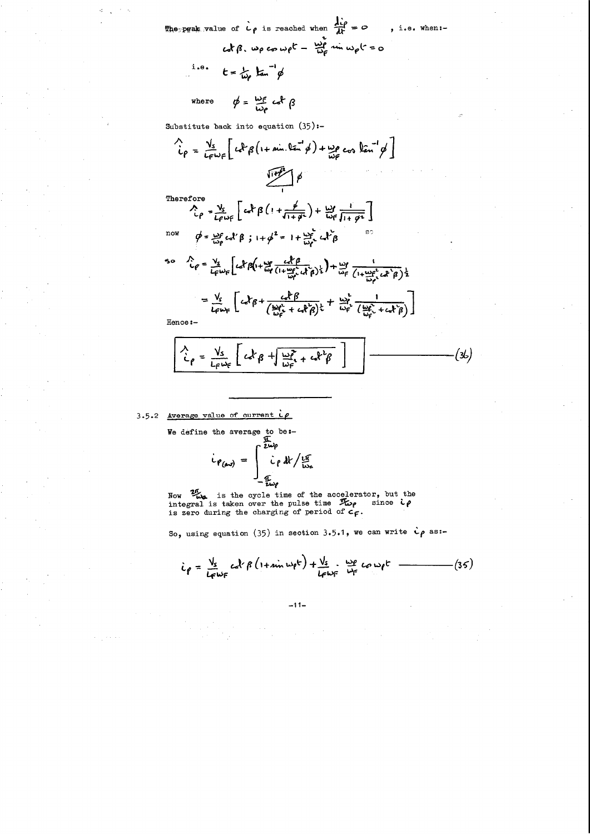The peak value of 
$$
l \rho
$$
 is reached when  $\frac{d\dot{l}\rho}{dt} = 0$ , i.e. when:  
\n $cd\beta$ ,  $\omega\rho$   $cos \omega\rho t - \frac{\omega\rho}{\omega\rho} sin \omega\rho t = 0$ 

 $\phi = \frac{\omega_F}{\omega_P} c \, d \beta$  $where$ 

Substitute back into equation  $(35)$ :-

$$
\frac{V_{s}}{L_{\rho}} = \frac{V_{s}}{L_{F}\omega_{F}} \left[ c_{r}R_{\beta} \left( 1 + \sin \theta_{r} \right) + \frac{L_{\rho}}{\omega_{F}} c_{00} \tan^{2} \phi \right]
$$
\nTherefore  
\n
$$
\frac{V_{\rho}}{L_{\rho}} = \frac{V_{s}}{L_{F}\omega_{F}} \left[ c_{r}R_{\beta} \left( 1 + \frac{\phi}{\sqrt{1 + \phi^{2}}} \right) + \frac{L_{\rho}}{\omega_{F}} \frac{1}{\sqrt{1 + \phi^{2}}} \right]
$$
\n
$$
\frac{V_{\rho}}{L_{\rho}} = \frac{V_{s}}{L_{\rho}} c_{0}R_{\beta} \left( 1 + \frac{\phi}{\sqrt{1 + \phi^{2}}} \right) + \frac{L_{\rho}}{\omega_{F}} c_{r}R_{\beta} \frac{1}{\sqrt{1 + \phi^{2}}} \right]
$$
\n
$$
= \frac{V_{s}}{L_{F}} \left[ c_{r}R_{\beta} \left( 1 + \frac{L_{\rho}}{\omega_{F}} \frac{c_{r}R_{\beta}}{c_{r}R_{\beta}} \right) \frac{1}{2} + \frac{L_{\rho}}{\omega_{F}} \frac{1}{\left( 1 + \frac{L_{\rho}}{\omega_{F}} c_{r}R_{\beta} \right) \frac{1}{2}} \right]
$$
\n
$$
= \frac{V_{s}}{L_{F}} \left[ c_{r}R_{\beta} + \frac{c_{r}R_{\beta}}{c_{r}R_{\beta}} + \frac{L_{\rho}}{\omega_{F}} \frac{1}{2} \right]
$$

$$
= \frac{V_{s}}{L_{f} \omega_{f}} \left[ c_{e} k_{\beta} + \frac{c_{e} k_{\beta}}{(\frac{\omega_{f} c_{e}}{L_{f} c} + c_{e} k_{\beta})} \frac{1}{c_{e}} + \frac{\omega_{f}}{\omega_{f}} \frac{1}{(\frac{\omega_{f} c_{e}}{L_{f} c} + c_{e} k_{\beta})} \right]
$$

Hence:-

$$
\frac{\lambda}{\lambda_{\rho}} = \frac{V_s}{L_{f}\omega_{f}} \left[ c d^{2} \beta + \frac{\omega_{f}^{2}}{\omega_{f}} + c d^{2} \beta \right]
$$
 (36)

3.5.2 Average value of current  $\mu$ 

We define the average to be:-<br>  $\iota_{\rho_{(av)}} = \int_{-\frac{\tau_{av}}{i\omega\rho}}^{\frac{\tau_{av}}{2i\omega\rho}}$ <br>  $\frac{1}{\tau_{av}}$ 

Now  $\frac{2\pi}{\omega}$  is the cycle time of the accelerator, but the integral is taken over the pulse time  $\mathcal{F}_{\omega\rho}$  since  $\zeta\rho$  is zero during the charging of period of  $c_{\Gamma}$ .

So, using equation (35) in section 3.5.1, we can write  $\dot{c}\rho$  as:-

$$
i_{\rho} = \frac{V_{s}}{L_{F} \omega_{F}} c d^{2} \beta (1 + \sin \omega_{\rho} t) + \frac{V_{s}}{L_{F} \omega_{F}} \cdot \frac{\omega_{\rho}}{\omega_{F}} c_{\rho} \omega_{\rho} t
$$
 (35)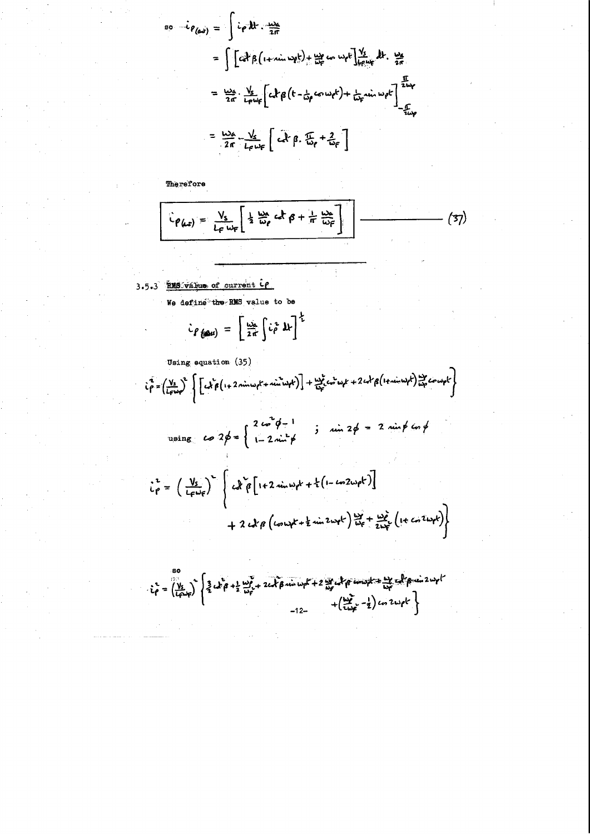$$
= \int i \rho \, dt \cdot \frac{dx}{2\pi}
$$
  
\n
$$
= \int [c \frac{d}{2} \beta (1 + \sin \frac{1}{2} \phi)^2 + \frac{12}{100} \omega \omega \phi^2] + \frac{11}{100} \omega \omega \phi^2 \frac{11}{100} \omega \phi^2
$$
  
\n
$$
= \frac{126}{2\pi} \cdot \frac{V_s}{L_f w_f} \left[ c \frac{1}{2} \beta (1 - \frac{1}{100} \omega \omega \phi^2) + \frac{1}{100} \omega \omega \phi^2 \right]_{-\frac{5}{100}}^{\frac{1}{200}}
$$
  
\n
$$
= \frac{126}{2\pi} \cdot \frac{V_s}{L_f w_f} \left[ c \frac{1}{2} \beta \cdot \frac{1}{100} + \frac{2}{100} \beta \right]
$$

Therefore

$$
\hat{L}_{\rho(\mu s)} = \frac{V_s}{L_{\rho} \omega_{\rho}} \left[ \frac{1}{2} \frac{\omega_{\rho}}{\omega_{\rho}} c \dot{\sigma} \beta + \frac{1}{n} \frac{\omega_{\rho}}{\omega_{\rho}} \right]
$$
 (37)

3.5.3 HMS value of current ce

We define the RMS value to be

$$
\dot{c}_{\beta}(\omega_{\text{us}}) = \left[\frac{\omega_{\alpha}}{2\pi}\int\limits_{0}^{1} \dot{c}_{\beta}^{2} d\mathbf{k}\right]^{2}
$$

Using equation (35)

$$
\hat{c}_{\beta}^{2} = \left(\frac{V_{s}}{L_{f}w_{\beta}}\right)^{2} \left\{\left[c_{x}\hat{c}_{\beta}\left(1+2\pi\hat{w}_{x}w_{\beta}k+\pi\hat{w}_{x}w_{\beta}k\right)\right]+\frac{W_{x}^{2}}{W_{f}^{2}}c_{x}^{2}w_{\beta}k+2c_{x}^{2}r_{\beta}\left(1+\pi\hat{w}_{x}w_{\beta}k\right)\right\} - \sum_{k=1}^{N_{f}^{2}}c_{x}^{2}w_{\beta}k
$$

using 
$$
\cos 2\phi = \begin{cases} 2 \cos^2 \phi - 1 \\ 1 - 2 \sin^2 \phi \end{cases}
$$
;  $\sin 2\phi = 2 \sin \phi \cos \phi$ 

$$
\vec{i}_{P} = \left(\frac{V_{s}}{L_{F}w_{F}}\right)^{2} \left\{ c_{x}^{2} \vec{\beta} \left[ 1 + 2 \sin w_{P}k + \frac{1}{2} \left( 1 - \tan 2w_{P}k \right) \right] + 2 c_{x}^{2} \vec{\beta} \left( \tan w_{F}k + \frac{1}{2} \sin 2w_{F}k \right) \frac{w_{F}^{2}}{w_{F}^{2}} + \frac{w_{F}^{2}}{2w_{F}^{2}} \left( 1 + \tan 2w_{F}k \right) \right\}
$$

 $i_{\rho} = \left(\frac{V_{s}}{l_{f}c_{r}}\right)^{5} \left\{\frac{3}{2} c_{r}^{5} \rho + \frac{1}{2} \frac{\omega_{\rho}^{5}}{\omega_{\rho}^{2}} + 2 c_{r}^{3} \beta \sin \omega_{\rho} k + 2 \frac{\omega_{\rho}^{2}}{\omega_{\rho}^{2}} c_{r}^{3} \rho \sin \omega_{\rho} k + \left(\frac{\omega_{\rho}^{3}}{\omega_{\rho}^{2}} - \frac{1}{2}\right) c_{0} 2 \omega_{\rho} k\right\}$ 

 $\label{eq:1} \mathcal{L}^{(1)}=\frac{1}{2}\sum_{i=1}^{n} \frac{1}{2}\sum_{i=1}^{n} \frac{1}{2}\sum_{i=1}^{n} \frac{1}{2}\sum_{i=1}^{n} \frac{1}{2}\sum_{i=1}^{n} \frac{1}{2}\sum_{i=1}^{n} \frac{1}{2}\sum_{i=1}^{n} \frac{1}{2}\sum_{i=1}^{n} \frac{1}{2}\sum_{i=1}^{n} \frac{1}{2}\sum_{i=1}^{n} \frac{1}{2}\sum_{i=1}^{n} \frac{1}{2}\sum_{i=1}^{n} \frac{1}{2}\sum_{i=$  $\label{eq:2.1} \frac{1}{\sqrt{2}}\left(\frac{1}{\sqrt{2}}\right)^{2} \left(\frac{1}{\sqrt{2}}\right)^{2} \left(\frac{1}{\sqrt{2}}\right)^{2} \left(\frac{1}{\sqrt{2}}\right)^{2} \left(\frac{1}{\sqrt{2}}\right)^{2} \left(\frac{1}{\sqrt{2}}\right)^{2} \left(\frac{1}{\sqrt{2}}\right)^{2} \left(\frac{1}{\sqrt{2}}\right)^{2} \left(\frac{1}{\sqrt{2}}\right)^{2} \left(\frac{1}{\sqrt{2}}\right)^{2} \left(\frac{1}{\sqrt{2}}\right)^{2} \left(\$  $\mathcal{L}_{\text{max}}$ 

 $\frac{1}{2} \sum_{i=1}^n \frac{1}{2} \sum_{j=1}^n \frac{1}{2} \sum_{j=1}^n \frac{1}{2} \sum_{j=1}^n \frac{1}{2} \sum_{j=1}^n \frac{1}{2} \sum_{j=1}^n \frac{1}{2} \sum_{j=1}^n \frac{1}{2} \sum_{j=1}^n \frac{1}{2} \sum_{j=1}^n \frac{1}{2} \sum_{j=1}^n \frac{1}{2} \sum_{j=1}^n \frac{1}{2} \sum_{j=1}^n \frac{1}{2} \sum_{j=1}^n \frac{1}{2} \sum_{j=$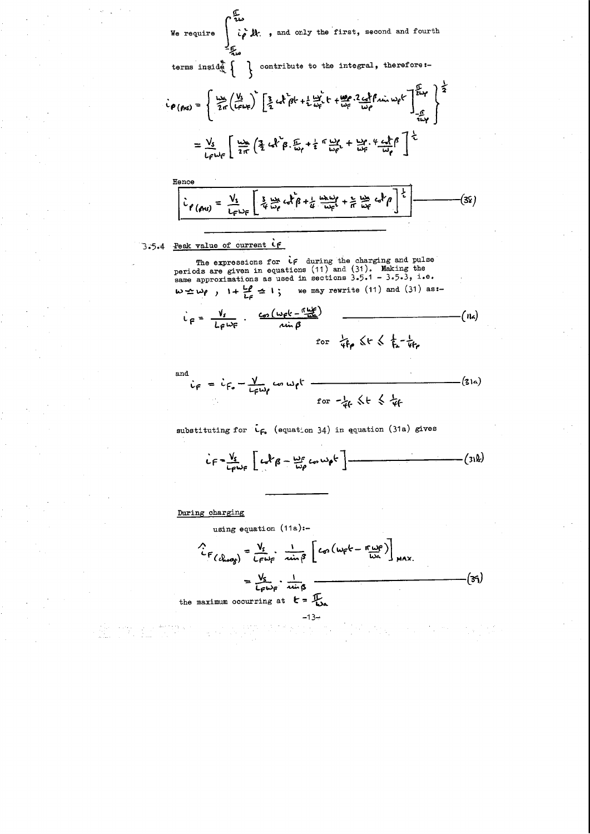$\hat{i}$   $\hat{\rho}$  it., and only the first, second and fourth  $\hat{j}$ We require

$$
i \rho_{(fMS)} = \left\{ \frac{u_{SS}}{2\pi} \left( \frac{V_3}{4\pi \epsilon} \right)^2 \left[ \frac{3}{2} \epsilon_0 \epsilon_0^2 + \frac{1}{2} \frac{u_{SS}^2}{4\pi \epsilon_0^2} + \frac{u_{SS}^2}{4\pi \epsilon_0^2} \frac{2 \epsilon_0^2}{4\pi \epsilon_0^2} \right] \frac{V_3}{4\pi \epsilon_0^2} \right\} = \frac{V_S}{4\pi \epsilon_0^2} \left[ \frac{u_{SS}}{2\pi} \left( \frac{3}{2} \epsilon_0 \epsilon_0^2 \beta_0 \frac{F_3}{4\pi \epsilon_0} + \frac{1}{2} \pi \frac{u_{SS}}{4\pi \epsilon_0^2} + \frac{u_{SS}^2}{4\pi \epsilon_0^2} \frac{4 \epsilon_0 \epsilon_0^2}{4\pi \epsilon_0^2} \right] \frac{V_3}{2}
$$

Hence  
\n
$$
\frac{\partial}{\partial \rho}(\rho w) = \frac{V_s}{L_F \omega_F} \left[ \frac{3}{4} \frac{w}{\omega_P} c \frac{1}{4} \rho + \frac{1}{4} \frac{w}{\omega_F} \frac{w}{L} + \frac{1}{4} \frac{w}{\omega_F} c \frac{1}{4} \rho \right]^{\frac{1}{2}}
$$
\n(38)

3.5.4 Peak value of current if

The expressions for  $if$  during the charging and pulse<br>periods are given in equations (11) and (31). Making the same approximations as used in sections  $3.5.1 - 3.5.3$ , i.e.  $w \le w\rho$ ,  $1 + \frac{L\rho}{L\rho} \le 1$ ; we may rewrite (11) and (31) as:-

$$
\dot{L}_{F} = \frac{V_{s}}{L_{F}\omega_{F}} \cdot \frac{c_{\infty}(\omega_{F}k - \frac{\pi \omega_{F}}{\omega_{F}})}{\sin \beta} \qquad (R_{A})
$$

and

$$
\dot{v}_F = \dot{v}_{F_o} - \frac{V}{L_F \omega_f} \omega \omega_f t
$$
\n
$$
for -\frac{1}{4}k \leq t \leq \frac{1}{4}f
$$
\n(31a)

substituting for  $C_{\mathsf{F}_{\bullet}}$  (equation 34) in equation (31a) gives

$$
iF = \frac{V_{s}}{L_{f}w_{f}} [L_{\alpha}P_{\beta} - \frac{w_{f}}{w_{\rho}} \cos w_{\rho}t] - \qquad (312)
$$

During charging

using equation (11a):-\n
$$
\frac{V_s}{C} = \frac{V_s}{C_F w_F} \cdot \frac{1}{\sin \beta} \left[ C_0 \left( w_F k - \frac{r_w}{w_A} \right) \right]_{MAX.}
$$
\n
$$
= \frac{V_s}{C_F w_F} \cdot \frac{1}{\sin \beta} \qquad (35)
$$
\nthe maximum occurring at  $k = \frac{T}{w_A}$ 

 $-13-$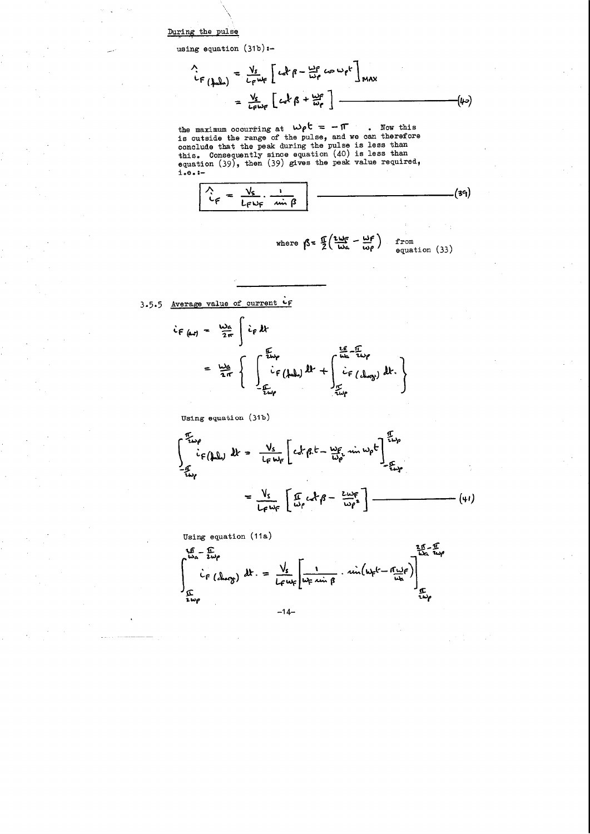During the pulse

using equation  $(31b)$ :-

$$
\begin{aligned}\n\Lambda_{\text{c}} \\
\mathbf{L}_{\text{c}} \\
\mathbf{L}_{\text{c}} \\
\mathbf{L}_{\text{c}}\mathbf{L}_{\text{c}}\mathbf{L}_{\text{c}}\n\end{aligned}
$$
\n
$$
= \frac{V_{s}}{L_{\text{c}}\omega_{\text{c}}} \left[ c_{\text{c}}\mathbf{k} \beta - \frac{\omega_{\text{c}}}{\omega_{\text{c}}}\cos \omega_{\text{c}}\mathbf{t} \right]_{\text{MAX}}
$$
\n
$$
= \frac{V_{s}}{L_{\text{c}}\omega_{\text{c}}} \left[ c_{\text{c}}\mathbf{k} \beta + \frac{\omega_{\text{c}}}{\omega_{\text{c}}} \right]_{\text{MAX}}
$$
\n(4-2)

the maximum occurring at  $w \rho^{\dagger} = -\pi$ . Now this is outside the range of the pulse, and we can therefore conclude that the peak during the pulse is less than this. Consequently since equation (40) is less than equation  $(39)$ , then  $(39)$  gives the peak value required,  $i.e. :-$ 



3.5.5 Average value of current CF

$$
\dot{c}_{F(\omega t)} = \frac{\omega_{\alpha}}{2\pi} \int \dot{c}_{F} dt
$$
\n
$$
= \frac{\omega_{\alpha}}{2\pi} \left\{ \int \frac{\dot{c}_{L} \omega_{\beta}}{\dot{c}_{F} (\omega_{\alpha})} dt + \int \frac{\frac{L_{f}}{\omega_{\alpha}} - \frac{L_{f}}{\omega_{\beta}}}{\frac{L_{f}}{\omega_{\beta}} (\omega_{\alpha\beta})} dt \right\}
$$

Using equation (31b)

$$
\int_{-\frac{\pi}{2}u\rho}^{\frac{\pi}{2}u\rho} i_{F}(\mu\mu) \, dx = \frac{v_{s}}{L_{F}w_{F}} \left[ c_{s}k_{\beta}t - \frac{\omega_{F}}{\omega_{\rho}} \sin \omega_{\rho}t \right]_{-\frac{\pi}{2}w_{F}}^{\frac{\pi}{2}w_{\rho}}
$$
\n
$$
= \frac{v_{s}}{L_{F}w_{F}} \left[ \frac{\pi}{\omega_{\rho}} c_{s}k_{\beta} - \frac{z_{\mu\nu_{F}}}{\omega_{\rho}^{2}} \right] \qquad (41)
$$

Using equation (11a)



 $-14-$ 

 $\label{eq:2.1} \frac{1}{\sqrt{2}}\int_{\mathbb{R}^3}\frac{1}{\sqrt{2}}\left(\frac{1}{\sqrt{2}}\right)^2\frac{1}{\sqrt{2}}\left(\frac{1}{\sqrt{2}}\right)^2\frac{1}{\sqrt{2}}\left(\frac{1}{\sqrt{2}}\right)^2\frac{1}{\sqrt{2}}\left(\frac{1}{\sqrt{2}}\right)^2\frac{1}{\sqrt{2}}\left(\frac{1}{\sqrt{2}}\right)^2\frac{1}{\sqrt{2}}\frac{1}{\sqrt{2}}\frac{1}{\sqrt{2}}\frac{1}{\sqrt{2}}\frac{1}{\sqrt{2}}\frac{1}{\sqrt{2}}$  $\label{eq:2.1} \frac{1}{\sqrt{2}}\int_{\mathbb{R}^3}\frac{1}{\sqrt{2}}\left(\frac{1}{\sqrt{2}}\right)^2\frac{1}{\sqrt{2}}\left(\frac{1}{\sqrt{2}}\right)^2\frac{1}{\sqrt{2}}\left(\frac{1}{\sqrt{2}}\right)^2.$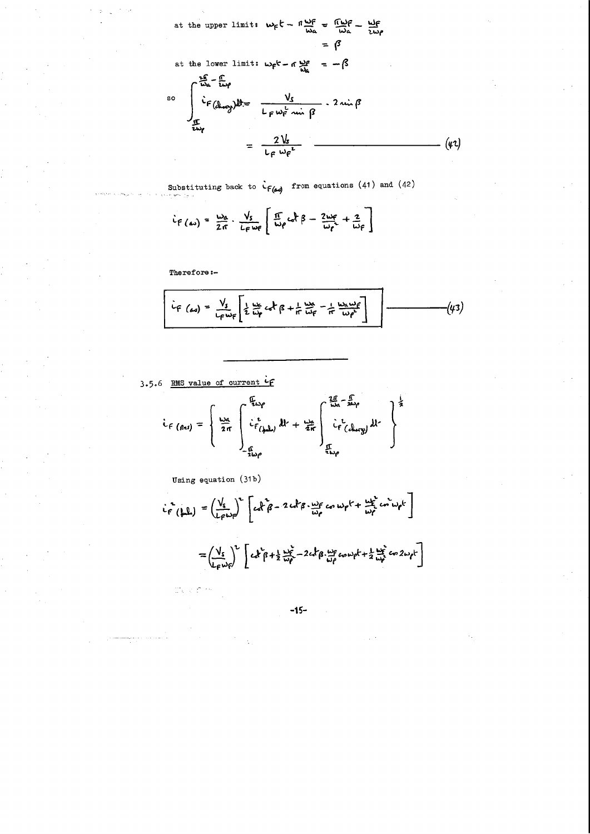at the upper limit: 
$$
w_f t - \pi \frac{w_f}{w_a} = \frac{\pi}{w_a}t - \frac{w_f}{zw_f}
$$
  
\n
$$
= \beta
$$
\nat the lower limit:  $w_f t - \pi \frac{w_f}{w_a} = -\beta$   
\n
$$
\int_{\frac{\pi}{w_a}}^{2\pi} \frac{\pi}{w_f} \mu
$$
\n
$$
= \frac{\sqrt{5}}{1 - \mu_f} \cdot 2 \sin \beta
$$
\n
$$
= \frac{2 \sqrt{5}}{1 - \mu_f} \cdot \frac{2 \pi}{1 - \mu_f} \cdot \frac{2 \pi}{1 - \mu_f} \cdot \frac{2 \pi}{1 - \mu_f} \cdot \frac{2 \pi}{1 - \mu_f} \cdot \frac{2 \pi}{1 - \mu_f} \cdot \frac{2 \pi}{1 - \mu_f} \cdot \frac{2 \pi}{1 - \mu_f} \cdot \frac{2 \pi}{1 - \mu_f} \cdot \frac{2 \pi}{1 - \mu_f} \cdot \frac{2 \pi}{1 - \mu_f} \cdot \frac{2 \pi}{1 - \mu_f} \cdot \frac{2 \pi}{1 - \mu_f} \cdot \frac{2 \pi}{1 - \mu_f} \cdot \frac{2 \pi}{1 - \mu_f} \cdot \frac{2 \pi}{1 - \mu_f} \cdot \frac{2 \pi}{1 - \mu_f} \cdot \frac{2 \pi}{1 - \mu_f} \cdot \frac{2 \pi}{1 - \mu_f} \cdot \frac{2 \pi}{1 - \mu_f} \cdot \frac{2 \pi}{1 - \mu_f} \cdot \frac{2 \pi}{1 - \mu_f} \cdot \frac{2 \pi}{1 - \mu_f} \cdot \frac{2 \pi}{1 - \mu_f} \cdot \frac{2 \pi}{1 - \mu_f} \cdot \frac{2 \pi}{1 - \mu_f} \cdot \frac{2 \pi}{1 - \mu_f} \cdot \frac{2 \pi}{1 - \mu_f} \cdot \frac{2 \pi}{1 - \mu_f} \cdot \frac{2 \pi}{1 - \mu_f} \cdot \frac{2 \pi}{1 - \mu_f} \cdot \frac{2 \pi}{1 - \mu_f} \cdot \frac{2 \pi}{1 - \mu_f} \cdot \frac{2 \pi}{1 - \mu_f} \cdot \frac{2 \pi}{1 - \mu_f} \cdot \frac{2 \pi}{1 - \mu_f} \cdot \frac{2 \pi}{1 - \mu_f} \cdot \frac{2 \pi}{1 - \mu_f} \cdot \frac{2 \pi}{1 - \mu_f} \cdot \frac{2 \pi}{1 - \mu
$$

Substituting back to  $\dot{\mathcal{L}}_{f(\Delta s)}$  from equations (41) and (42)

$$
\dot{L}_{F(\omega)} = \frac{\omega_{\alpha}}{2\pi} \cdot \frac{V_{s}}{L_{F}\omega_{F}} \left[ \frac{\pi}{\omega_{\rho}} c_{\alpha}^{\dagger} \beta - \frac{2\omega_{F}}{\omega_{\rho}} + \frac{2}{\omega_{F}} \right]
$$

Therefore:-

$$
i_{F (ax)} = \frac{V_{s}}{L_{F} w_{F}} \left[ \frac{1}{2} \frac{u_{F}}{i_{F}} c_{F} + \frac{1}{r} \frac{u_{F}}{i_{F}} - \frac{1}{r} \frac{u_{x} w_{F}}{i_{F}} \right]
$$
 (43)

3.5.6 RMS value of current if

$$
i_{f (fns)} = \left\{ \frac{\omega_{a}}{2\pi} \int_{-\frac{f}{2}\omega_{f}}^{\frac{f}{2}\omega_{f}} (f\omega_{u}) dt + \frac{\omega_{a}}{2\pi} \int_{-\frac{f}{2}\omega_{f}}^{\frac{f}{2}\omega_{a} - \frac{f}{2}\omega_{f}} (f\omega_{g}) dt \right\}^{\frac{1}{2}}
$$

Using equation (31b)

$$
i_{F}^{2}(\mu\mu) = \left(\frac{V_{s}}{L_{F}\omega_{F}}\right)^{2} \left[c_{e}f_{\beta} - 2ch_{\beta} \cdot \frac{\omega_{F}}{\omega_{F}}c_{\sigma} \omega_{F}k + \frac{\omega_{F}^{2}}{\omega_{F}}c_{\sigma} \omega_{F}k\right]
$$

$$
= \left(\frac{V_{s}}{L_{F}\omega_{F}}\right)^{2} \left[c_{e}f_{\beta} + \frac{1}{2} \frac{\omega_{F}^{2}}{\omega_{F}} - 2ch_{\beta} \cdot \frac{\omega_{F}}{\omega_{F}}c_{\sigma} \omega_{F}k + \frac{1}{2} \frac{\omega_{F}^{2}}{\omega_{F}}c_{\sigma} 2\omega_{F}k\right]
$$

 $-15-$ 

 $\label{eq:2.1} \frac{1}{\sqrt{2}}\int_{\mathbb{R}^3}\frac{1}{\sqrt{2}}\left(\frac{1}{\sqrt{2}}\int_{\mathbb{R}^3}\frac{1}{\sqrt{2}}\left(\frac{1}{\sqrt{2}}\int_{\mathbb{R}^3}\frac{1}{\sqrt{2}}\left(\frac{1}{\sqrt{2}}\int_{\mathbb{R}^3}\frac{1}{\sqrt{2}}\right)\frac{1}{\sqrt{2}}\right)\frac{1}{\sqrt{2}}\right)=\frac{1}{2}\int_{\mathbb{R}^3}\frac{1}{\sqrt{2}}\int_{\mathbb{R}^3}\frac{1}{\sqrt{2}}\frac{1}{\$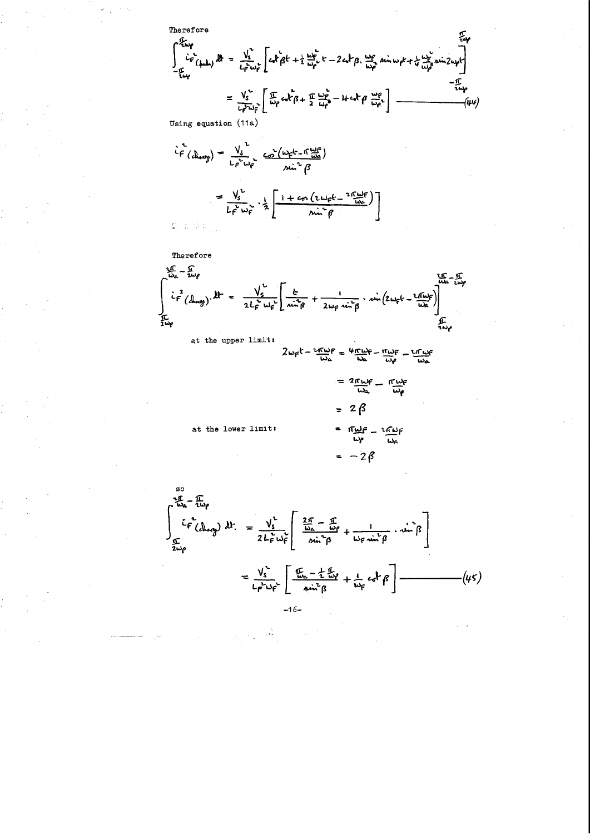Therefore  
\n
$$
\int_{-\frac{L}{2}L_{\varphi}^{2}}^{\frac{L}{2}L_{\varphi}^{2}}(1) d\theta = \frac{V_{s}^{2}}{L_{\varphi}^{2}L_{\varphi}^{2}} \left[ c_{x}R_{\beta}^{2}k + \frac{1}{2} \frac{\omega_{\varphi}^{2}}{\omega_{\varphi}^{2}}k - 2 c_{x}R_{\beta} \cdot \frac{\omega_{\varphi}^{2}}{\omega_{\varphi}^{2}} \sin \omega_{\varphi}k + \frac{1}{4} \frac{\omega_{\varphi}^{2}}{\omega_{\varphi}^{2}} \sin 2\omega_{\varphi}k - \frac{1}{2} \frac{\omega_{\varphi}^{2}}{\omega_{\varphi}^{2}} \right]
$$
\n
$$
= \frac{V_{s}^{2}}{L_{\varphi}^{2} \omega_{\varphi}^{2}} \left[ \frac{\pi}{\omega_{\varphi}} c_{x}R_{\beta} + \frac{\pi}{2} \frac{\omega_{\varphi}^{2}}{\omega_{\varphi}^{2}} - 4 c_{x}R_{\beta} \frac{\omega_{\varphi}^{2}}{\omega_{\varphi}^{2}} \right] \xrightarrow{-\frac{\pi}{2}L_{\varphi}} (44)
$$

Using equation (11a)

$$
\hat{L}_{F}^{2}(d_{\text{temp}}) = \frac{V_{s}}{L_{F}^{2} \omega_{F}} \underbrace{C_{0}^{2}(w_{F}k - \hat{w}_{\text{min}}^{H})}_{\text{min}^{2} \beta}
$$
\n
$$
= \frac{V_{s}}{L_{F}^{2} \omega_{F}} \cdot \frac{1}{2} \left[ \frac{1 + c_{0} (2w_{F}k - 2\hat{w}_{\text{min}}^{H})}{\text{min}^{2} \beta} \right]
$$



at the upper limit:

$$
2\omega_{F}t - \frac{2\pi\omega_{F}}{\omega_{A}} = \frac{4\pi\omega_{F}}{\omega_{A}} - \frac{\pi\omega_{F}}{\omega_{P}} - \frac{2\pi\omega_{F}}{\omega_{A}}
$$

$$
= 2\pi\omega_{F} - \pi\omega_{F}
$$
  

$$
\omega_{A} - \omega_{F}
$$

 $\frac{1}{2} \frac{1}{2} \frac{1}{2} \frac{1}{2} \frac{1}{2} \frac{1}{2} \frac{1}{2} \frac{1}{2} \frac{1}{2} \frac{1}{2} \frac{1}{2} \frac{1}{2} \frac{1}{2} \frac{1}{2} \frac{1}{2} \frac{1}{2} \frac{1}{2} \frac{1}{2} \frac{1}{2} \frac{1}{2} \frac{1}{2} \frac{1}{2} \frac{1}{2} \frac{1}{2} \frac{1}{2} \frac{1}{2} \frac{1}{2} \frac{1}{2} \frac{1}{2} \frac{1}{2} \frac{1}{2} \frac{$ 

 $-2\beta$ 

at the lower limit:



 $\frac{1}{\sqrt{2}}$ 

 $\mathcal{L}^{\text{max}}_{\text{max}}$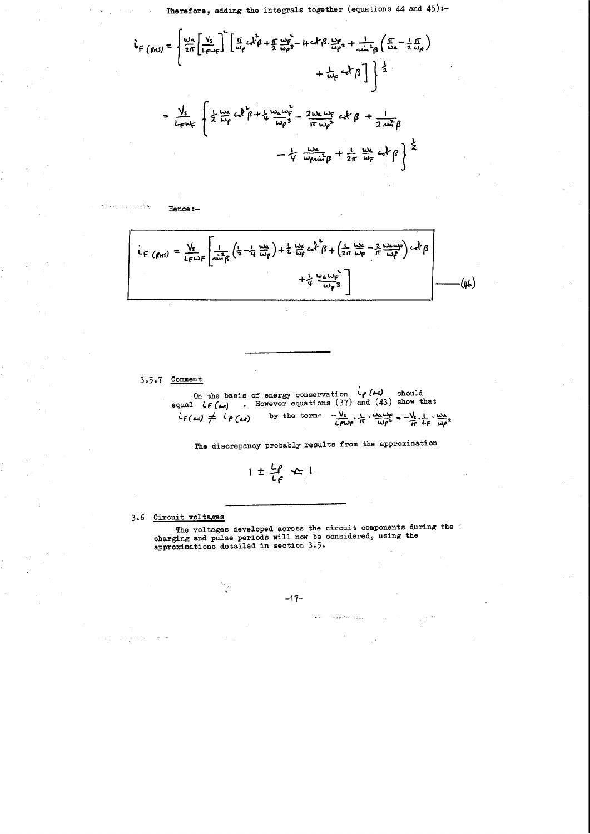Therefore, adding the integrals together (equations 44 and  $45$ ) :-

$$
F (f(t) ) = \begin{cases} \frac{1}{2\pi} \left[ \frac{V_{s}}{L_{F}} \right]^{2} \left[ \frac{f}{\omega_{p}} c x_{\beta}^{2} + \frac{f}{2} \frac{\omega_{p}^{2}}{\omega_{p}^{3}} - 4 t c x_{\beta}^{2} \frac{\omega_{p}^{2}}{\omega_{p}^{2}} + \frac{1}{2 \sin^{2} \beta} \left( \frac{f}{\omega_{a}} - \frac{1}{2} \frac{f}{\omega_{p}} \right) \right. \\ + \frac{1}{2 \cos \beta} \left\{ \frac{1}{2} \frac{\omega_{a}}{\omega_{p}} c x_{\beta}^{2} + \frac{1}{4} \frac{\omega_{a}}{\omega_{p}^{2}} \frac{\omega_{p}^{2}}{\omega_{p}^{2}} - \frac{2 \omega_{a} \omega_{p}}{f \cos^{2} \beta} \frac{c x_{\beta}}{\beta} + \frac{1}{2} \frac{\omega_{a}}{2} \frac{c x_{\beta}}{\omega_{p}^{2}} \beta \right. \\ - \frac{1}{4} \frac{\omega_{a}}{\omega_{p} \omega_{a}} \beta + \frac{1}{2\pi} \frac{\omega_{a}}{\omega_{p}} c x_{\beta}^{2} \end{cases}
$$

 $i_{F} (g_{H5}) = \frac{V_{s}}{L_{F} \omega_{F}} \left[ \frac{1}{n \dot{u}_{f}^{2}} \left( \frac{1}{2} - \frac{1}{4} \frac{u_{f}}{w_{f}} \right) + \frac{1}{2} \frac{u_{f}}{w_{f}} c_{f}^{2} + \left( \frac{1}{2} \frac{u_{f}}{w_{F}} - \frac{2}{\pi} \frac{u_{f}}{w_{f}^{2}} \right) c_{f}^{2} \beta \right]$  $+\frac{1}{4} \frac{\omega_a \omega_r}{\omega_p^3}$ ·(46)

### 3.5.7 Comment

Hence:-

On the basis of energy conservation  $\phi$  ( $\leftrightarrow$ ) should<br>equal  $\dot{\phi}$  ( $\leftrightarrow$ s) . However equations (37) and (43) show that  $i_{f(\omega)} \neq i_{f(\omega)}$ by the terms  $-\frac{V_s}{L_f\omega_f}$ ,  $\frac{1}{H}$ ,  $\frac{\omega_a\omega_f}{\omega_f^2} = -\frac{V_s}{H}$ ,  $\frac{1}{L_f}$ ,  $\frac{\omega_A}{\omega_f^2}$ 

The discrepancy probably results from the approximation

$$
1\pm\frac{L\rho}{L\rho}\leq 1
$$

3.6 Circuit voltages

The voltages developed across the circuit components during the  $\ell$ charging and pulse periods will now be considered, using the approximations detailed in section 3.5.

 $\label{eq:2.1} \frac{1}{\sqrt{2}}\sum_{i=1}^n\frac{1}{\sqrt{2}}\sum_{i=1}^n\frac{1}{\sqrt{2}}\sum_{i=1}^n\frac{1}{\sqrt{2}}\sum_{i=1}^n\frac{1}{\sqrt{2}}\sum_{i=1}^n\frac{1}{\sqrt{2}}\sum_{i=1}^n\frac{1}{\sqrt{2}}\sum_{i=1}^n\frac{1}{\sqrt{2}}\sum_{i=1}^n\frac{1}{\sqrt{2}}\sum_{i=1}^n\frac{1}{\sqrt{2}}\sum_{i=1}^n\frac{1}{\sqrt{2}}\sum_{i=1}^n\frac$  $\label{eq:2.1} \frac{1}{\sqrt{2\pi}}\sum_{i=1}^n\frac{1}{\sqrt{2\pi}}\sum_{i=1}^n\frac{1}{\sqrt{2\pi}}\sum_{i=1}^n\frac{1}{\sqrt{2\pi}}\sum_{i=1}^n\frac{1}{\sqrt{2\pi}}\sum_{i=1}^n\frac{1}{\sqrt{2\pi}}\sum_{i=1}^n\frac{1}{\sqrt{2\pi}}\sum_{i=1}^n\frac{1}{\sqrt{2\pi}}\sum_{i=1}^n\frac{1}{\sqrt{2\pi}}\sum_{i=1}^n\frac{1}{\sqrt{2\pi}}\sum_{i=1}^n\$  $\mathcal{L}^{\text{max}}_{\text{max}}$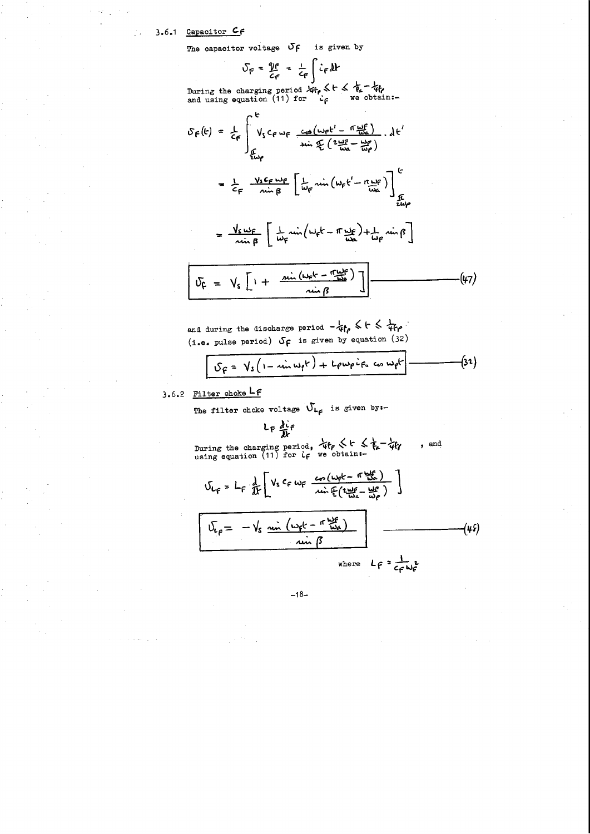# 3.6.1 Capacitor CF

The capacitor voltage  $\sigma$  $\epsilon$  is given by

$$
S_F = \frac{\gamma_F}{c_F} = \frac{1}{c_F} \int c_F dt
$$

During the charging period  $\sqrt{4}t_0 \leq t \leq \frac{1}{4}t_0$ <br>and using equation (11) for  $\frac{1}{4}$  we obtain:-

$$
S_{f}(k) = \frac{1}{c_{f}} \int_{\frac{L}{2W_{f}}}^{k} V_{s} c_{f} w_{f} \frac{cos(w_{f}t^{1} - \pi \frac{w_{f}}{w_{a}})}{sin \frac{L}{2} (\frac{2w_{f}t^{2} - w_{f}}{w_{f}})} \cdot dt^{1}
$$

$$
= \frac{1}{c_{f}} \frac{V_{s} c_{f} w_{f}}{sin \beta} \left[ \frac{1}{w_{f}} \sin(w_{f}t^{1} - \pi \frac{w_{f}}{w_{a}}) \right]_{\frac{L}{2W_{f}}}
$$

$$
= \frac{V_{s}\omega_{F}}{\sin \beta} \left[ \frac{1}{\omega_{F}}\sin(\omega_{F}t - \pi \frac{\omega_{F}}{\omega_{A}}) + \frac{1}{\omega_{F}}\sin \beta \right]
$$

$$
\boxed{U_{\zeta} = V_{s} \left[ 1 + \frac{\sin (\omega_{\zeta} k - \eta \omega_{\zeta}^2)}{\omega_{\zeta} \beta} \right] \boxed{1 - \cdots - \omega_{\zeta}^2}}
$$
 (47)

and during the discharge period  $-\frac{1}{4}f_{\rho} \leqslant t \leqslant \frac{1}{4}f_{\rho}$ . (i.e. pulse period)  $\sigma_f$  is given by equation (32)

$$
S_{F} = V_{s}(1 - \sin \omega_{f}t) + L_{f} \omega_{f} i_{F_{s}} \omega_{f} \omega_{f}t
$$
 (32)

# 3.6.2 Filter choke LF

The filter choke voltage  $\mathcal{V}_{L_f}$  is given by:-

$$
L_F \frac{\partial^2 f}{\partial x^2}
$$

During the charging period,  $\forall f \in \mathcal{F}_a - \forall f \in \mathbb{R}$  using equation (11) for  $\iota_f$  we obtain:-, and

$$
U_{L_f} = L_f \frac{1}{11} \left[ V_s c_f w_f \frac{w_c (w_f k - \pi \frac{w_f k}{100})}{w_i \pi (2 \frac{w_f}{100} - \frac{w_f k}{100})} \right]
$$
  

$$
U_{L_f} = -V_s \frac{w_i (w_f k - \pi \frac{w_f k}{100})}{w_i \pi (3)}
$$
  
where  $L_f = \frac{1}{c_f w_f^2}$ 

 $-18-$ 

 $\label{eq:2.1} \mathcal{L}(\mathcal{L}^{\mathcal{L}}_{\mathcal{L}}(\mathcal{L}^{\mathcal{L}}_{\mathcal{L}}(\mathcal{L}^{\mathcal{L}}_{\mathcal{L}}(\mathcal{L}^{\mathcal{L}}_{\mathcal{L}}(\mathcal{L}^{\mathcal{L}}_{\mathcal{L}}(\mathcal{L}^{\mathcal{L}}_{\mathcal{L}}(\mathcal{L}^{\mathcal{L}}_{\mathcal{L}}(\mathcal{L}^{\mathcal{L}}_{\mathcal{L}}(\mathcal{L}^{\mathcal{L}}_{\mathcal{L}}(\mathcal{L}^{\mathcal{L}}_{\mathcal{L}}(\mathcal{L$  $\label{eq:2.1} \frac{1}{\sqrt{2\pi}}\int_{\mathbb{R}^3}\frac{1}{\sqrt{2\pi}}\int_{\mathbb{R}^3}\frac{1}{\sqrt{2\pi}}\int_{\mathbb{R}^3}\frac{1}{\sqrt{2\pi}}\int_{\mathbb{R}^3}\frac{1}{\sqrt{2\pi}}\int_{\mathbb{R}^3}\frac{1}{\sqrt{2\pi}}\int_{\mathbb{R}^3}\frac{1}{\sqrt{2\pi}}\int_{\mathbb{R}^3}\frac{1}{\sqrt{2\pi}}\int_{\mathbb{R}^3}\frac{1}{\sqrt{2\pi}}\int_{\mathbb{R}^3}\frac{1$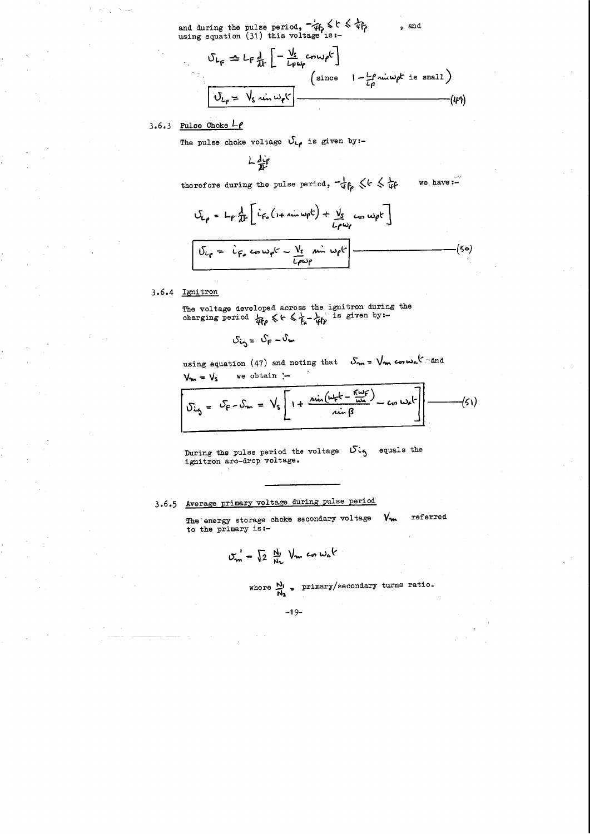and during the pulse period,  $-4f_r \leqslant c \leqslant 4f_r$ using equation (31) this voltage is:-

$$
U_{L_{F}} \triangleq L_{F} \frac{d}{dx} \left[ -\frac{V_{s}}{L_{F} \omega_{P}} \text{conv}_{P} \right]
$$
\n
$$
\left( \text{since } I - \frac{L_{P}}{L_{P}} \text{ min} \omega_{P} \text{ is small} \right)
$$
\n
$$
U_{L_{F}} = V_{s} \text{ min} \omega_{P} \left( -\frac{L_{F}}{L_{P}} \text{ min} \omega_{P} \text{ is small} \right)
$$
\n
$$
(44)
$$

# 3.6.3 Pulse Choke *Lp*

The pulse choke voltage  $\mathcal{S}_{\mathsf{LP}}$  is given by:-

The voltage developed across the ignitron during the charging period  $\frac{1}{4t\rho}$   $\leqslant$   $\epsilon$   $\leqslant$   $\frac{1}{t_{\epsilon}}$   $\frac{1}{4t\rho}$  is given by:-

L 'W

we have: $-\frac{1}{2}$ therefore during the pulse period,  $-\frac{1}{4}f_p \leq k \leq \frac{1}{4}f$ 

$$
U_{L\rho} = L\rho \frac{\lambda}{\lambda k} \left[ \dot{L}_{F_o} (1 + \sin w \rho t) + \frac{V_s}{L\rho w \rho} w \rho t \right]
$$
  

$$
U_{L\rho} = \dot{L}_{F_o} \cos w \rho t - \frac{V_s}{L\rho w \rho} \sin w \rho t \right]
$$
 (50)

# 3.6.4 Ignitron

During the pulse period the voltage  $S_{ig}$  equals the ignitron arc-drop voltage.

The energy storage choke secondary voltage  $V_{\mathbf{m}}$ to the primary is: referred

$$
S_{\zeta_{\zeta}} = S_{\zeta} - S_{\mathbf{w}}
$$

using equation (47) and noting that  $S_m = \sqrt{m} \cos \omega_a$ .  $\sin \omega_a$  $V_m = V_s$  we obtain :-

$$
\overline{v_{ig} = v_{f} - v_{m} = V_{s} \left[ 1 + \frac{\sin(\omega_{f}t - \frac{\pi\omega_{f}}{\omega_{a}})}{\sin\beta} - c_{0}\omega_{a}t^{2} \right] - \cdots - (51)}
$$

# 3.6 •. 5 Average primary voltage during pulse period

$$
\sigma_{\mathbf{w}}^{\prime} = \sqrt{2} \frac{N_1}{N_2} V_{\mathbf{w}} \cos \omega_{\alpha} t
$$

where 
$$
\frac{N_1}{N_2}
$$
 primary/secondary turns ratio.

....

-19-

 $\label{eq:2} \frac{1}{2} \int_{\mathbb{R}^3} \frac{1}{2} \int_{\mathbb{R}^3} \frac{1}{2} \int_{\mathbb{R}^3} \frac{1}{2} \int_{\mathbb{R}^3} \frac{1}{2} \int_{\mathbb{R}^3} \frac{1}{2} \int_{\mathbb{R}^3} \frac{1}{2} \int_{\mathbb{R}^3} \frac{1}{2} \int_{\mathbb{R}^3} \frac{1}{2} \int_{\mathbb{R}^3} \frac{1}{2} \int_{\mathbb{R}^3} \frac{1}{2} \int_{\mathbb{R}^3} \frac{1$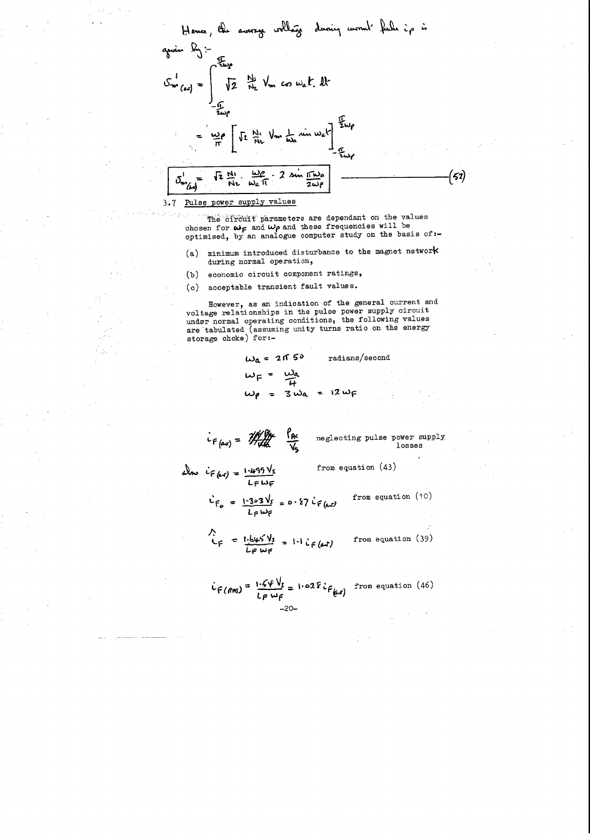

The circuit parameters are dependant on the values chosen for  $\omega_F$  and  $\omega_\rho$  and these frequencies will be optimised, by an analogue computer study on the basis of:-

- (a) minimum introduced disturbance to the magnet network during normal operation,
- economic circuit component ratings,  $(b)$
- acceptable transient fault values.  $(c)$

However, as an indication of the general current and voltage relationships in the pulse power supply circuit under normal operating conditions, the following values are tabulated (assuming unity turns ratio on the energy storage choke) for:-

$$
\omega_{a} = 2 \pi 50 \text{ radians/second}
$$
  

$$
\omega_{F} = \frac{\omega_{a}}{4}
$$

$$
c_{F(a,s)} = \frac{1}{2} \frac{1}{2} \frac{1}{2} \frac{1}{2} \frac{1}{2}
$$

neglecting pulse power supply, losses

from equation (10)

$$
\hat{c}_{F(\Delta x)} = \frac{1.499 \text{ V}_s}{L_F \omega_F}
$$
 from equation (43)

r<br>Ke

$$
\dot{v}_{F_{o}} = \frac{1.303 \text{ Vs}}{L_{F} \omega_{F}} = 0.87 \dot{v}_{F(\omega_{F})}
$$

 $v = \frac{1.645 \text{ Vs}}{L \epsilon \omega \epsilon}$ from equation (39)  $1 - i$   $i \in (\omega)$  $\bullet$ 

$$
\dot{L}_{F(\text{Rns})} = \frac{1.54 \text{ V}_s}{L_{F} \omega_{F}} = 1.02 \text{E} \dot{L}_{F(\omega r)} \text{ from equation (46)}
$$

a produced a <del>company of the state of the state of the state of the state of the state of the state of the state of the state of the state of the state of the state of the state of the state of the state of the state of th</del>  $\frac{1}{2}$  .  $\frac{1}{2}$ 

 $\mathcal{O}(\frac{1}{\sqrt{2}})$  $\frac{1}{2} \frac{1}{2} \frac{1}{2} \frac{1}{2} \frac{1}{2}$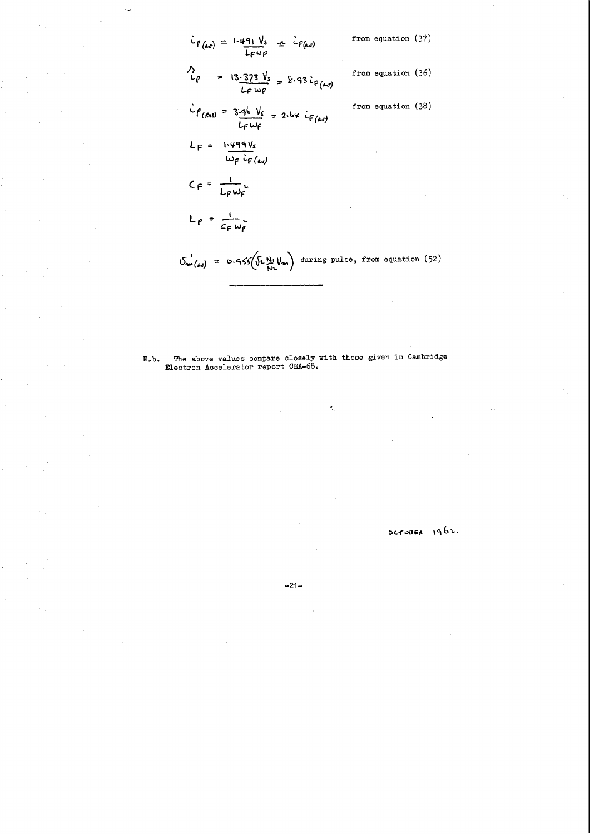$$
i_{\ell(\Delta s)} = 1.491 \text{ V}_s \quad \Delta \quad \text{ifrom equation (37)}
$$
\n
$$
i_{\ell}(\Delta s) = 13.373 \text{ V}_s \quad \Delta \quad \text{ifrom equation (36)}
$$
\n
$$
i_{\ell}(\rho \Delta s) = 13.373 \text{ V}_s \quad \Delta \quad \text{ifrom equation (36)}
$$
\n
$$
i_{\ell}(\rho \Delta s) = 3.45 \text{ V}_s \quad \Delta \quad \text{ifrom equation (38)}
$$
\n
$$
i_{\ell}(\rho \Delta s) = 3.45 \text{ V}_s \quad \Delta \quad \text{ifrom equation (38)}
$$
\n
$$
i_{\ell}(\rho \Delta s) = 3.45 \text{ V}_s \quad \Delta \quad \text{if}(\Delta s) = 2.55 \text{ V}_s \quad \text{if}(\Delta s) = 2.55 \text{ V}_s \quad \text{if}(\Delta s) = 2.55 \text{ V}_s \quad \text{if}(\Delta s) = 2.55 \text{ V}_s \quad \text{if}(\Delta s) = 2.55 \text{ V}_s \quad \text{if}(\Delta s) = 2.55 \text{ V}_s \quad \text{if}(\Delta s) = 2.55 \text{ V}_s \quad \text{if}(\Delta s) = 2.55 \text{ V}_s \quad \text{if}(\Delta s) = 2.55 \text{ V}_s \quad \text{if}(\Delta s) = 2.55 \text{ V}_s \quad \text{if}(\Delta s) = 2.55 \text{ V}_s \quad \text{if}(\Delta s) = 2.55 \text{ V}_s \quad \text{if}(\Delta s) = 2.55 \text{ V}_s \quad \text{if}(\Delta s) = 2.55 \text{ V}_s \quad \text{if}(\Delta s) = 2.55 \text{ V}_s \quad \text{if}(\Delta s) = 2.55 \text{ V}_s \quad \text{if}(\Delta s) = 2.55 \text{ V}_s \quad \text{if}(\Delta s) = 2.55 \text{ V}_s \quad \text{if}(\Delta s) = 2.55 \text{ V}_s \quad \text{if}(\Delta s) = 2.55 \text{ V}_s \quad \text{if}(\Delta s) = 2.55 \text{ V}_s \quad \text{if}(\Delta
$$

The above values compare closely with those given in Cambridge Electron Accelerator report CEA-68.  $N_°b_°$ 

 $\frac{m}{2}$ 

 $\label{eq:2} \begin{split} \mathcal{L}_{\text{c}}(\mathbf{m},\mathbf{r}) = \mathcal{L}_{\text{c}}(\mathbf{r},\mathbf{r}) = \mathcal{L}_{\text{c}}(\mathbf{r},\mathbf{r}) = \mathcal{L}_{\text{c}}(\mathbf{r},\mathbf{r}) = \mathcal{L}_{\text{c}}(\mathbf{r},\mathbf{r}) = \mathcal{L}_{\text{c}}(\mathbf{r},\mathbf{r}) = \mathcal{L}_{\text{c}}(\mathbf{r},\mathbf{r}) = \mathcal{L}_{\text{c}}(\mathbf{r},\mathbf{r}) = \mathcal{L}_{\text{c}}(\mathbf{r$  $\label{eq:2.1} \frac{1}{\sqrt{2}}\int_{0}^{2\pi} \frac{1}{\sqrt{2}}\left(\frac{1}{\sqrt{2}}\right)^{2} \frac{1}{\sqrt{2}}\left(\frac{1}{\sqrt{2}}\right)^{2} \frac{1}{\sqrt{2}}\left(\frac{1}{\sqrt{2}}\right)^{2} \frac{1}{\sqrt{2}}\left(\frac{1}{\sqrt{2}}\right)^{2} \frac{1}{\sqrt{2}}\left(\frac{1}{\sqrt{2}}\right)^{2} \frac{1}{\sqrt{2}}\left(\frac{1}{\sqrt{2}}\right)^{2} \frac{1}{\sqrt{2}}\left(\frac{1}{\sqrt{2}}\$  $\label{eq:2.1} \frac{1}{\sqrt{2}}\left(\frac{1}{\sqrt{2}}\right)^{2} \left(\frac{1}{\sqrt{2}}\right)^{2} \left(\frac{1}{\sqrt{2}}\right)^{2} \left(\frac{1}{\sqrt{2}}\right)^{2} \left(\frac{1}{\sqrt{2}}\right)^{2} \left(\frac{1}{\sqrt{2}}\right)^{2} \left(\frac{1}{\sqrt{2}}\right)^{2} \left(\frac{1}{\sqrt{2}}\right)^{2} \left(\frac{1}{\sqrt{2}}\right)^{2} \left(\frac{1}{\sqrt{2}}\right)^{2} \left(\frac{1}{\sqrt{2}}\right)^{2} \left(\$ 

OCTOBER 1962.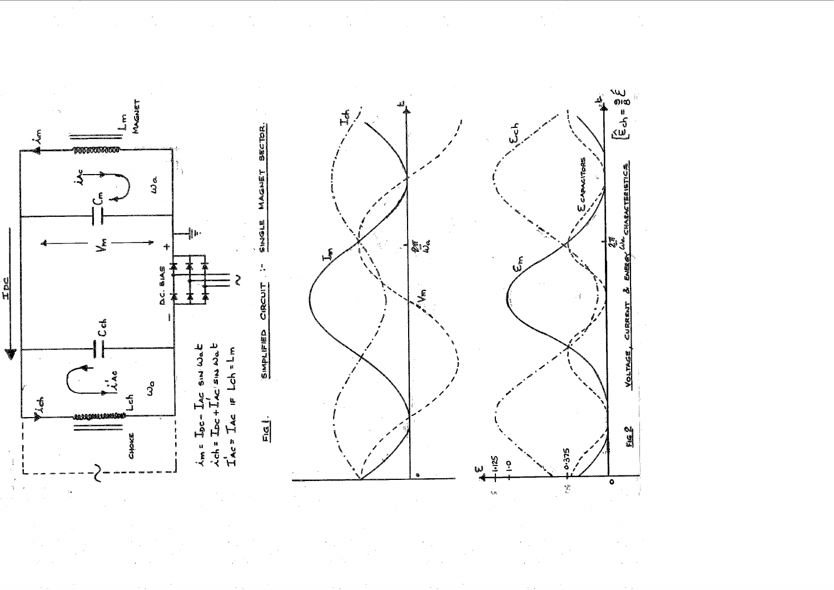

 $\sim$ 

 $\sim$